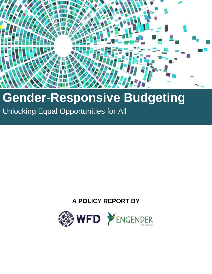

# **Gender-Responsive Budgeting**

Unlocking Equal Opportunities for All

## **A POLICY REPORT BY**

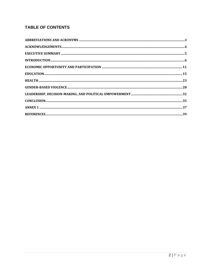## **TABLE OF CONTENTS**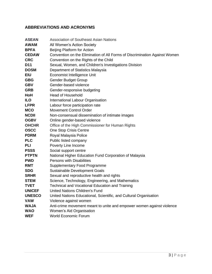## <span id="page-2-0"></span>**ABBREVIATIONS AND ACRONYMS**

| <b>ASEAN</b>  | <b>Association of Southeast Asian Nations</b>                              |
|---------------|----------------------------------------------------------------------------|
| <b>AWAM</b>   | All Women's Action Society                                                 |
| <b>BPFA</b>   | Beijing Platform for Action                                                |
| <b>CEDAW</b>  | Convention on the Elimination of All Forms of Discrimination Against Women |
| <b>CRC</b>    | Convention on the Rights of the Child                                      |
| D11           | Sexual, Women, and Children's Investigations Division                      |
| <b>DOSM</b>   | Department of Statistics Malaysia                                          |
| <b>EIU</b>    | Economist Intelligence Unit                                                |
| <b>GBG</b>    | <b>Gender Budget Group</b>                                                 |
| <b>GBV</b>    | Gender-based violence                                                      |
| <b>GRB</b>    | Gender-responsive budgeting                                                |
| HoH           | <b>Head of Household</b>                                                   |
| <b>ILO</b>    | International Labour Organisation                                          |
| <b>LFPR</b>   | Labour force participation rate                                            |
| <b>MCO</b>    | <b>Movement Control Order</b>                                              |
| <b>NCDII</b>  | Non-consensual dissemination of intimate images                            |
| <b>OGBV</b>   | Online gender-based violence                                               |
| <b>OHCHR</b>  | Office of the High Commissioner for Human Rights                           |
| <b>OSCC</b>   | One Stop Crisis Centre                                                     |
| <b>PDRM</b>   | Royal Malaysia Police                                                      |
| <b>PLC</b>    | Public listed company                                                      |
| <b>PLI</b>    | Poverty Line Income                                                        |
| <b>PSSS</b>   | Social support centre                                                      |
| <b>PTPTN</b>  | National Higher Education Fund Corporation of Malaysia                     |
| <b>PWD</b>    | <b>Persons with Disabilities</b>                                           |
| <b>RMT</b>    | <b>Supplementary Food Programme</b>                                        |
| <b>SDG</b>    | Sustainable Development Goals                                              |
| <b>SRHR</b>   | Sexual and reproductive health and rights                                  |
| <b>STEM</b>   | Science, Technology, Engineering, and Mathematics                          |
| <b>TVET</b>   | Technical and Vocational Education and Training                            |
| <b>UNICEF</b> | United Nations Children's Fund                                             |
| <b>UNESCO</b> | United Nations Educational, Scientific, and Cultural Organisation          |
| VAW           | Violence against women                                                     |
| <b>WAJA</b>   | Anti-crime movement meant to unite and empower women against violence      |
| <b>WAO</b>    | Women's Aid Organisation                                                   |
| <b>WEF</b>    | <b>World Economic Forum</b>                                                |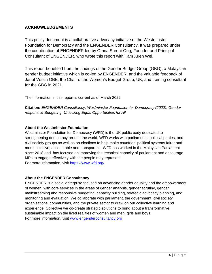## <span id="page-3-0"></span>**ACKNOWLEDGEMENTS**

This policy document is a collaborative advocacy initiative of the Westminster Foundation for Democracy and the ENGENDER Consultancy. It was prepared under the coordination of ENGENDER led by Omna Sreeni-Ong, Founder and Principal Consultant of ENGENDER, who wrote this report with Tam Xueh Wei.

This report benefited from the findings of the Gender Budget Group (GBG), a Malaysian gender budget initiative which is co-led by ENGENDER, and the valuable feedback of Janet Veitch OBE, the Chair of the Women's Budget Group, UK, and training consultant for the GBG in 2021.

The information in this report is current as of March 2022.

**Citation:** *ENGENDER Consultancy, Westminster Foundation for Democracy (2022), Genderresponsive Budgeting: Unlocking Equal Opportunities for All*

## **About the Westminster Foundation**

Westminster Foundation for Democracy (WFD) is the UK public body dedicated to strengthening democracy around the world. WFD works with parliaments, political parties, and civil society groups as well as on elections to help make countries' political systems fairer and more inclusive, accountable and transparent. WFD has worked in the Malaysian Parliament since 2018 and has focused on improving the technical capacity of parliament and encourage MPs to engage effectively with the people they represent. For more information, visit<https://www.wfd.org/>

## **About the ENGENDER Consultancy**

ENGENDER is a social enterprise focused on advancing gender equality and the empowerment of women, with core services in the areas of gender analysis, gender scrutiny, gender mainstreaming and responsive budgeting, capacity building, strategic advocacy planning, and monitoring and evaluation. We collaborate with parliament, the government, civil society organisations, communities, and the private sector to draw on our collective learning and experience. Collective we co-create strategic solutions to bring about a transformative, sustainable impact on the lived realities of women and men, girls and boys. For more information, visit [www.engenderconsultancy.org](http://www.engenderconsultancy.org/)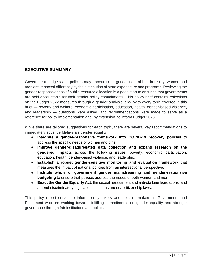## <span id="page-4-0"></span>**EXECUTIVE SUMMARY**

Government budgets and policies may appear to be gender neutral but, in reality, women and men are impacted differently by the distribution of state expenditure and programs. Reviewing the gender-responsiveness of public resource allocation is a good start to ensuring that governments are held accountable for their gender policy commitments. This policy brief contains reflections on the Budget 2022 measures through a gender analysis lens. With every topic covered in this brief — poverty and welfare, economic participation, education, health, gender-based violence, and leadership — questions were asked, and recommendations were made to serve as a reference for policy implementation and, by extension, to inform Budget 2023.

While there are tailored suggestions for each topic, there are several key recommendations to immediately advance Malaysia's gender equality:

- **Integrate a gender-responsive framework into COVID-19 recovery policies** to address the specific needs of women and girls.
- **Improve gender-disaggregated data collection and expand research on the gendered impacts** across the following issues: poverty, economic participation, education, health, gender-based violence, and leadership.
- **Establish a robust gender-sensitive monitoring and evaluation framework** that measures the impact of national policies from an intersectional perspective.
- **Institute whole of government gender mainstreaming and gender-responsive budgeting** to ensure that policies address the needs of both women and men.
- **Enact the Gender Equality Act**, the sexual harassment and anti-stalking legislations, and amend discriminatory legislations, such as unequal citizenship laws.

This policy report serves to inform policymakers and decision-makers in Government and Parliament who are working towards fulfilling commitments on gender equality and stronger governance through fair institutions and policies.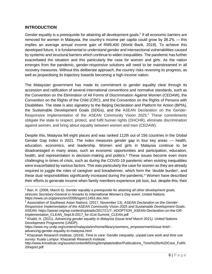## <span id="page-5-0"></span>**INTRODUCTION**

Gender equality is a prerequisite for attaining all development goals.<sup>1</sup> If all economic barriers are removed for women in Malaysia, the country's income per capita could grow by 26.2% — this implies an average annual income gain of RM9,400 (World Bank, 2019). To achieve this developed future, it is fundamental to understand gender and intersectional vulnerabilities caused by systemic and structural barriers which continue to widen inequalities. The pandemic has further exacerbated the situation and this particularly the case for women and girls. As the nation emerges from the pandemic, gender-responsive solutions will need to be mainstreamed in all recovery measures. Without this deliberate approach, the country risks reversing its progress, as well as jeopardising its trajectory towards becoming a high-income nation.

The Malaysian government has made its commitment to gender equality clear through its accession and ratification of several international conventions and normative standards, such as the Convention on the Elimination of All Forms of Discrimination Against Women (CEDAW), the Convention on the Rights of the Child (CRC), and the Convention on the Rights of Persons with Disabilities. The state is also signatory to the Beijing Declaration and Platform for Action (BPfA), the Sustainable Development Goals (SDGs), and the ASEAN Declaration on the Gender-Responsive Implementation of the ASEAN Community Vision 2025.<sup>2</sup> These commitments obligate the state to respect, protect, and fulfil human rights (OHCHR), eliminate discrimination against women, and bring about equality between women and men (CEDAW).

Despite this, Malaysia fell eight places and was ranked 112th out of 156 countries in the Global Gender Gap Index in 2021. The index measures gender gap in four key areas  $-$  health, education, economics, and leadership. Women and girls in Malaysia continue to be disadvantaged in many areas, such as economic opportunities and participation, education, health, and representation in decision-making and politics.<sup>3</sup> These issues become even more challenging in times of crisis, such as during the COVID-19 pandemic when existing inequalities were exacerbated by various factors. This was particularly the case for women as they are already required to juggle the roles of caregiver and breadwinner, which form the 'double burden', and these dual responsibilities significantly increased during the pandemic.<sup>4</sup> Women have described their efforts to generate income when family members experience job loss, but, despite this, their

<sup>1</sup> Ban, K. (2008, March 6). *Gender equality a prerequisite for attaining all other development goals, stresses Secretary-General in remarks to International Women's Day event*. United Nations. https://www.un.org/press/en/2008/sgsm11453.doc.htm

<sup>2</sup> Association of Southeast Asian Nations. (2017, November 13). *ASEAN Declaration on the Gender-Responsive Implementation of the ASEAN Community Vision 2025 and Sustainable Development Goals*. ASEAN. https://asean.org/wp-content/uploads/2017/11/7.-ADOPTION\_ASEAN-Declaration-on-the-GR-Implementation\_CLEAN\_Sept.8-2017\_for-31st-Summit\_CLEAN.pdf

<sup>3</sup> Khalid, H. (2021). *Advancing gender equality in Malaysia* (Issue brief March 2021*).* United Nations Development Programme (UNDP).

https://www.my.undp.org/content/malaysia/en/home/library/womens\_empowerment/issue-brief- advancing-gender-equality-in-malaysia.html

<sup>4</sup> Khazanah Research Institute. (2019). *Time to care: Gender inequality, unpaid care work and time use survey.* Kuala Lumpur: Khazanah Research Institute.

http://www.krinstitute.org/assets/contentMS/img/template/editor/Publications\_Time%20to%20Care\_Full% 20report.pdf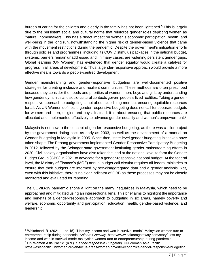burden of caring for the children and elderly in the family has not been lightened.<sup>5</sup> This is largely due to the persistent social and cultural norms that reinforce gender roles depicting women as 'natural' homemakers. This has a direct impact on women's economic participation, health, and well-being in the long run, notwithstanding the higher risk of gender-based violence that came with the movement restrictions during the pandemic. Despite the government's mitigation efforts through policies and programmes, including its COVID stimulus packages in the national budget, systemic barriers remain unaddressed and, in many cases, are widening persistent gender gaps. Global learning (UN Women) has evidenced that gender equality would create a catalyst for progress in all areas of development. Thus, a gender-responsive approach would provide a more effective means towards a people-centred development.

Gender mainstreaming and gender-responsive budgeting are well-documented positive strategies for creating inclusive and resilient communities. These methods are often prescribed because they consider the needs and priorities of women, men, boys and girls by understanding how gender dynamics and socio-cultural contexts govern people's lived realities. Taking a genderresponsive approach to budgeting is not about side-lining men but ensuring equitable resources for all. As [UN Women](https://asiapacific.unwomen.org/en/focus-areas/women-poverty-economics/gender-responsive-budgeting) defines it, gender-responsive budgeting does not call for separate budgets for women and men, or girls and boys. Instead, it is about ensuring that public resources are allocated and implemented effectively to advance gender equality and women's empowerment.<sup>6</sup>

Malaysia is not new to the concept of gender-responsive budgeting, as there was a pilot project by the government dating back as early as 2003, as well as the development of a manual on Gender Budgeting in Malaysia in 2005. Since then, state level gender budgeting initiatives have taken shape. The Penang government implemented Gender-Responsive Participatory Budgeting in 2012, followed by the Selangor state government instituting gender mainstreaming efforts in 2020. Civil society organisations have also taken the lead at the national level to form the Gender Budget Group (GBG) in 2021 to advocate for a gender-responsive national budget. At the federal level, the Ministry of Finance's (MOF) annual budget call circular requires all federal ministries to ensure that their budgets are informed by sex-disaggregated data and a gender analysis. Yet, even with this initiative, there is no clear indicator of GRB as these processes may not be closely monitored and evaluated for reporting.

The COVID-19 pandemic shone a light on the many inequalities in Malaysia, which need to be approached and mitigated using an intersectional lens. This brief aims to highlight the importance and benefits of a gender-responsive approach to budgeting in six areas, namely poverty and welfare, economic opportunity and participation, education, health, gender-based violence, and leadership.

<sup>5</sup> Whitehead, R. (2021, June 15). 'I lost my income and was in survival mode': Malaysian women turn to entrepreneurship during pandemic. *Salaam Gateway.* https://www.salaamgateway.com/story/i-lost-myincome-and-was-in-survival-mode-malaysian-women-turn-to-entrepreneurship-during-pandemic <sup>6</sup> UN Women Asia Pacific. (n.d.). *Gender-responsive Budgeting*. UN Women Asia Pacific.

https://asiapacific.unwomen.org/en/focus-areas/women-poverty-economics/gender-responsive-budgeting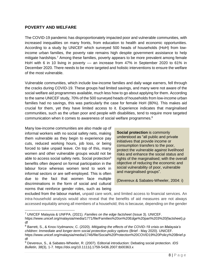## **POVERTY AND WELFARE**

The COVID-19 pandemic has disproportionately impacted poor and vulnerable communities, with increased inequalities on many fronts, from education to health and economic opportunities. According to a study by UNICEF which surveyed 500 heads of households (HoH) from lowincome urban families, the poverty rate remains high despite government assistance to help mitigate hardships.<sup>7</sup> Among these families, poverty appears to be more prevalent among female HoH with 6 in 10 living in poverty - an increase from 47% in September 2020 to 61% in December 2020. There needs to be more targeted and holistic interventions to ensure the welfare of the most vulnerable.

Vulnerable communities, which include low-income families and daily wage earners, fell through the cracks during COVID-19. These groups had limited savings, and many were not aware of the social welfare aid programmes available, much less how to go about applying for them. According to the same UNICEF study, 70% of the 500 surveyed heads of households from low-income urban families had no savings, this was particularly the case for female HoH (80%). This makes aid crucial for them, yet they have limited access to it. Experience indicates that marginalised communities, such as the urban poor and people with disabilities, tend to require more targeted communication when it comes to awareness of social welfare programmes.<sup>8</sup>

Many low-income communities are also made up of informal workers with no social safety nets, making them vulnerable as they begin to experience pay cuts, reduced working hours, job loss, or being forced to take unpaid leave. On top of this, many women and other vulnerable groups would not be able to access social safety nets. Social protection<sup>9</sup> benefits often depend on formal participation in the labour force whereas women tend to work in informal sectors or are self-employed. This is often due to the fact that women face multiple discriminations in the form of social and cultural norms that reinforce gender roles, such as being

**Social protection** is commonly understood as "all public and private initiatives that provide income or consumption transfers to the poor, protect the vulnerable against livelihood risks and enhance the social status and rights of the marginalised; with the overall objective of reducing the economic and social vulnerability of poor, vulnerable and marginalised groups".

(Devereux & Sabates-Wheeler, 2004: i)

excluded from the labour market, unpaid care work, and limited access to financial services. An intra-household analysis would also reveal that the benefits of aid measures are not always accessed equitably among all members of a household; this is because, depending on the gender

<sup>7</sup> UNICEF Malaysia & UNFPA. (2021). *Families on the edge factsheet* (Issue 3). UNICEF.

https://www.unicef.org/malaysia/media/1771/file/Families%20on%20Edge%20part%203%20(factsheet).p df

<sup>8</sup> Barrett, S., & Knox-Vydmanov, C. (2020). *Mitigating the effects of the COVID-19 crisis on Malaysia's children: Immediate and longer-term social protection policy options* (Brief - May 2020)*.* UNICEF. https://www.unicef.org/malaysia/media/1746/file/Social%20Protection%20COVID19%20Policy%20Brief.p df

<sup>9</sup> Devereux, S., & Sabates-Wheeler, R. (2007). Editorial introduction: Debating social protection. *IDS Bulletin, 38*(3), 1-7. https://doi.org/10.1111/j.1759-5436.2007.tb00363.x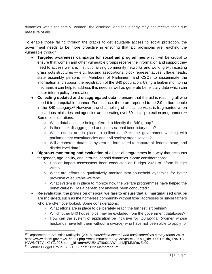dynamics within the family, women, the disabled, and the elderly may not receive their due measure of aid.

To enable those falling through the cracks to get equitable access to social protection, the government needs to be more proactive in ensuring that aid provisions are reaching the vulnerable through:

- **Targeted awareness campaign for social aid programmes** which will be crucial to ensure that women and other vulnerable groups receive the information and support they need to access welfare. Institutionalising community networks and working with existing grassroots structures –– e.g., housing associations, block representatives, village heads, state assembly persons –– Members of Parliament and CSOs to disseminate the information and support the registration of the B40 population. Using a built-in monitoring mechanism can help to address this need as well as generate beneficiary data which can better inform policy formulation.
- **Collecting updated and disaggregated data** to ensure that the aid is reaching all who need it in an equitable manner. For instance, there are reported to be 2.9 million people in the B40 category.<sup>10</sup> However, the channelling of critical services is fragmented when the various ministries and agencies are operating over 60 social protection programmes.<sup>11</sup> Some considerations:
	- What databases are being referred to identify the B40 group?
	- Is there sex-disaggregated and intersectional beneficiary data?
	- What efforts are in place to collect data? Is the government working with parliamentary constituencies and civil society organisations?
	- Will a coherent database system be formulated to capture all federal, state, and district level data?
- **Rigorous monitoring and evaluation** of all social programmes in a way that accounts for gender, age, ability, and intra-household dynamics. Some considerations:
	- Has an impact assessment been conducted on Budget 2021 to inform Budget 2022?
	- What are efforts to qualitatively monitor intra-household dynamics for better provision of equitable welfare?
	- What system is in place to monitor how the welfare programmes have helped the beneficiaries? Has a beneficiary analysis been conducted?
- **Re-evaluating the provision of social welfare to ensure that all marginalised groups are included**, such as the homeless community without fixed addresses or single fathers who are often overlooked. Some considerations:
	- What efforts are in place to deliberately reach the furthest left behind?
	- Which other B40 households may be excluded from the government databases?
	- How can the system of application be inclusive for '*ibu tinggal*' (women whose husbands have left them without a divorce) who have not been able to apply for

<sup>10</sup> Department of Statistics Malaysia. (2019). *Household income and basic amenities survey report 2019.*  https://www.dosm.gov.my/v1/index.php?r=column/cthemeByCat&cat=120&bul\_id=TU00TmRhQ1N5TUx HVWN0T2VjbXJYZz09&menu\_id=amVoWU54UTl0a21NWmdhMjFMMWcyZz09

<sup>11</sup> Gender Budget Group. (2021). Budget 2022 Memorandum.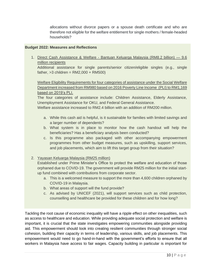allocations without divorce papers or a spouse death certificate and who are therefore not eligible for the welfare entitlement for single mothers / female-headed households?

#### **Budget 2022: Measures and Reflections**

1. Direct Cash Assistance & Welfare - Bantuan Keluarga Malaysia (RM8.2 billion) — 9.6 million recipients

Additional assistance for single parents/senior citizen/eligible singles (e.g., single father,  $>3$  children = RM2,000 + RM500)

Welfare Eligibility Requirements for four categories of assistance under the Social Welfare Department increased from RM980 based on 2016 Poverty Line Income (PLI) to RM1,169 based on 2019's PLI.

The four categories of assistance include: Children Assistance, Elderly Assistance, Unemployment Assistance for OKU, and Federal General Assistance.

Welfare assistance increased to RM2.4 billion with an addition of RM200 million.

- a. While this cash aid is helpful, is it sustainable for families with limited savings and a larger number of dependents?
- b. What system is in place to monitor how the cash handout will help the beneficiaries? Has a beneficiary analysis been conducted?
- c. Is this programme also packaged with other accompanying empowerment programmes from other budget measures, such as upskilling, support services, and job placements, which aim to lift this target group from their situation?

## 2. Yayasan Keluarga Malaysia (RM25 million)

Established under Prime Minister's Office to protect the welfare and education of those orphaned due to COVID-19. The government will provide RM25 million for the initial startup fund combined with contributions from corporate sector.

- a. This is a welcomed measure to support the more than 4,600 children orphaned by COVID-19 in Malaysia.
- b. What areas of support will the fund provide?
- c. As advised by UNICEF (2021), will support services such as child protection, counselling and healthcare be provided for these children and for how long?

Tackling the root cause of economic inequality will have a ripple effect on other inequalities, such as access to healthcare and education. While providing adequate social protection and welfare is important, it is crucial that the state investigates empowering communities alongside providing aid. This empowerment should look into creating resilient communities through stronger social cohesion, building their capacity in terms of leadership, various skills, and job placements. This empowerment would need to go hand-in-hand with the government's efforts to ensure that all workers in Malaysia have access to fair wages. Capacity building in particular is important for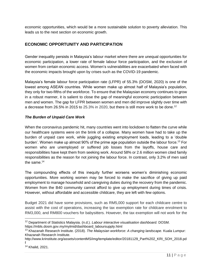economic opportunities, which would be a more sustainable solution to poverty alleviation. This leads us to the next section on economic growth.

## <span id="page-10-0"></span>**ECONOMIC OPPORTUNITY AND PARTICIPATION**

Gender inequality persists in Malaysia's labour market where there are unequal opportunities for economic participation, a lower rate of female labour force participation, and the exclusion of women from certain economic access. Women's vulnerabilities are exacerbated when faced with the economic impacts brought upon by crises such as the COVID-19 pandemic.

Malaysia's female labour force participation rate (LFPR) of 55.3% (DOSM, 2020) is one of the lowest among ASEAN countries. While women make up almost half of Malaysia's population, they only for two-fifths of the workforce. To ensure that the Malaysian economy continues to grow in a robust manner, it is salient to close the gap of meaningful economic participation between men and women. The gap for LFPR between women and men did improve slightly over time with a decrease from 26.5% in 2015 to 25.3% in 2020, but there is still more work to be done.<sup>12</sup>

#### *The Burden of Unpaid Care Work*

When the coronavirus pandemic hit, many countries went into lockdown to flatten the curve while our healthcare systems were on the brink of a collapse. Many women have had to take up the burden of unpaid care work, while juggling existing employment loads, leading to a 'double burden'. Women make up almost 90% of the prime age population outside the labour force.<sup>13</sup> For women who are unemployed or suffered job losses from the layoffs, house care and responsibilities have kept them from seeking work. Around 58% or 2.6 million women cited family responsibilities as the reason for not joining the labour force. In contrast, only 3.2% of men said the same. 14

The compounding effects of this inequity further worsens women's diminishing economic opportunities. More working women may be forced to make the sacrifice of giving up paid employment to manage household and caregiving duties during the recovery from the pandemic. Women from the B40 community cannot afford to give up employment during times of crisis. However, without affordable and accessible childcare, they are left with few options.

Budget 2021 did have some provisions, such as RM5,000 support for each childcare centre to assist with the cost of operations, increasing the tax exemption rate for childcare enrolment to RM3,000, and RM800 vouchers for babysitters. However, the tax exemption will not work for the

<sup>12</sup> Department of Statistics Malaysia. (n.d.). *Labour interactive visualisation dashboard.* DOSM. https://mbls.dosm.gov.my/mylmid/dashboard\_laboursupply.html

<sup>13</sup> Khazanah Research Institute. (2018). *The Malaysian workforce: A changing landscape.* Kuala Lumpur: Khazanah Research Institute.

[http://www.krinstitute.org/assets/contentMS/img/template/editor/20181129\\_Part%202\\_KRI\\_SOH\\_2018.pd](http://www.krinstitute.org/assets/contentMS/img/template/editor/20181129_Part%202_KRI_SOH_2018.pdf) [f](http://www.krinstitute.org/assets/contentMS/img/template/editor/20181129_Part%202_KRI_SOH_2018.pdf)

<sup>14</sup> Khalid, 2021.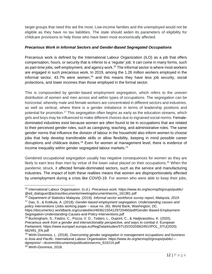target groups that need this aid the most. Low-income families and the unemployed would not be eligible as they have no tax liabilities. The state should widen its parameters of eligibility for childcare provisions to help those who have been most economically affected.

## *Precarious Work in Informal Sectors and Gender-Based Segregated Occupations*

Precarious work is defined by the International Labour Organization (ILO) as a job that offers compensation, hours, or security that is inferior to a 'regular' job. It can come in many forms, such as part-time jobs, self-employment, and agency work.<sup>15</sup> The informal sector is where most workers are engaged in such precarious work. In 2019, among the 1.26 million workers employed in the informal sector,  $43.7\%$  were women,<sup>16</sup> and this means they have less job security, social protections, and lower incomes than those employed in the formal sector.

This is compounded by gender-based employment segregation, which refers to the uneven distribution of women and men across and within types of occupations. The segregation can be horizontal, whereby male and female workers are concentrated in different sectors and industries, as well as vertical, where there is a gender imbalance in terms of leadership positions and potential for promotion.<sup>17</sup> This segregation often begins as early as the education streams, which girls and boys may be influenced to make different choices due to ingrained social norms. Femaledominated industries exist because women are often found to be in occupations that are related to their perceived gender roles, such as caregiving, teaching, and administrative roles. The same gender norms that influence the division of labour in the household also inform women to choose jobs that help develop transferable skills or allow flexibility, keeping in mind possible career disruptions and childcare duties.<sup>18</sup> Even for women at management level, there is evidence of income inequality within gender segregated labour markets.<sup>19</sup>

Gendered occupational segregation usually has negative consequences for women as they are likely to earn less than men by virtue of the lower value placed on their occupations.<sup>20</sup> When the pandemic struck, it affected female-dominated sectors, such as the service and manufacturing industries. The impact of both these realities means that women are disproportionately affected by unemployment during a crisis like COVID-19. For women who were able to keep their jobs,

<sup>15</sup> International Labour Organisation. (n.d.). *Precarious work.* https://www.ilo.org/wcmsp5/groups/public/ @ed\_dialogue/@actrav/documents/meetingdocument/wcms\_161381.pdf

<sup>16</sup> Department of Statistics Malaysia. (2019). *Informal sector workforce survey report, Malaysia, 2019*.

<sup>17</sup> Das, S., & Kotikula, A. (2018). *Gender-based employment segregation: Understanding causes and policy interventions* (Jobs working paper – issue no. 26). World Bank, Washington, DC.

https://documents1.worldbank.org/curated/en/483621554129720460/pdf/Gender-Based-Employment-Segregation-Understanding-Causes-and-Policy-Interventions.pdf

<sup>&</sup>lt;sup>18</sup> Buckingham, S., Fiadzo, C., Pozza, V. D., Todaro, L., Dupont, C., & Hadjivassiliou, K. (2020). Precarious work from a gender and intersectionality perspective, and ways to combat it. European Parliament. https://www.europarl.europa.eu/RegData/etudes/STUD/2020/662491/IPOL\_STU(2020) 662491\_EN.pdf

<sup>19</sup> Wirth-Dominice, L. (2018). *Overcoming gender segregation in management occupations and business in Asia and Pacific.* International Labour Organisation. https://www.ilo.org/wcmsp5/groups/public/-- dgreports/---dcomm/documents/publication/wcms\_616214.pdf

<sup>20</sup> Wirth-Dominice, 2018.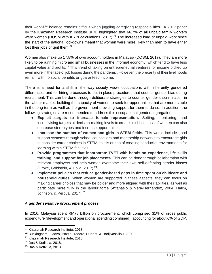their work-life balance remains difficult when juggling caregiving responsibilities. A 2017 paper by the Khazanah Research Institute (KRI) highlighted that 66.7% of all unpaid family workers were women (DOSM with KRI's calculations, 2017).<sup>21</sup> The increased load of unpaid work since the start of the national lockdowns meant that women were more likely than men to have either lost their jobs or quit them.<sup>22</sup>

Women also make up 17.8% of own account holders in Malaysia (DOSM, 2017). They are more likely to be running micro and small businesses in the informal economy, which tend to have less capital value and profits.<sup>23</sup> This trend of taking on entrepreneurial ventures for income picked up even more in the face of job losses during the pandemic. However, the precarity of their livelihoods remain with no social benefits or guaranteed income.

There is a need for a shift in the way society views occupations with inherently gendered differences, and for hiring processes to put in place procedures that counter gender bias during recruitment. This can be done through deliberate strategies to counter gender discrimination in the labour market; building the capacity of women to seek for opportunities that are more stable in the long term as well as the government providing support for them to do so. In addition, the following strategies are recommended to address this occupational gender segregation:

- **Explicit targets to increase female representation.** Setting, monitoring, and incentivising targets at decision-making levels to create a critical mass of women can also decrease stereotypes and increase opportunities.
- **Increase the number of women and girls in STEM fields.** This would include good support systems through school counsellors and mentorship networks to encourage girls to consider career choices in STEM; this is on top of creating conducive environments for learning within STEM faculties.
- **Provide programmes that incorporate TVET with hands-on experience, life skills training, and support for job placements.** This can be done through collaboration with relevant employers and help women overcome their own self-defeating gender biases (Croke, Goldstein, & Holla, 2017).<sup>24</sup>
- **Implement policies that reduce gender-based gaps in time spent on childcare and household duties.** When women are supported in these aspects, they can focus on making career choices that may be bolder and more aligned with their abilities, as well as participate more fully in the labour force (Attanasio & Vera-Hernandez, 2004; Halim, Johnson, & Perova, 2017).<sup>25</sup>

## *A gender sensitive procurement process*

In 2016, Malaysia spent RM78 billion on procurement, which comprised 31% of gross public expenditure (development and operational spending combined), accounting for about 6% of GDP.

<sup>21</sup> Khazanah Research Institute, 2018.

<sup>&</sup>lt;sup>22</sup> Buckingham, Fiadzo, Pozza, Todaro, Dupont, & Hadjivassiliou, 2020.

<sup>23</sup> Khazanah Research Institute, 2018.

<sup>24</sup> Das & Kotikula, 2018.

<sup>25</sup> Das & Kotikula, 2018.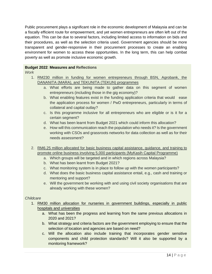Public procurement plays a significant role in the economic development of Malaysia and can be a fiscally efficient route for empowerment, and yet women entrepreneurs are often left out of the equation. This can be due to several factors, including limited access to information on bids and their procedures, as well as the selection criteria used. Government agencies should be more transparent and gender-responsive in their procurement processes to create an enabling environment for women to access these opportunities. In the long term, this can help combat poverty as well as promote inclusive economic growth.

## **Budget 2022**: **Measures and Reflections**

*Work*

- 1. RM230 million in funding for women entrepreneurs through BSN, Agrobank, the DANANITA (MARA), and TEKUNITA (TEKUN) programmes
	- a. What efforts are being made to gather data on this segment of women entrepreneurs (including those in the gig economy)?
	- b. What enabling features exist in the funding application criteria that would ease the application process for women / PwD entrepreneurs, particularly in terms of collateral and capital outlay?
	- c. Is this programme inclusive for all entrepreneurs who are eligible or is it for a certain segment?
	- d. What has been learnt from Budget 2021 which could inform this allocation?
	- e. How will this communication reach the population who needs it? Is the government working with CSOs and grassroots networks for data collection as well as for their needs assessment?
- 2. RM6.25 million allocated for basic business capital assistance, guidance, and training to promote online business involving 5,000 participants (MyKasih Capital Programme)
	- a. Which groups will be targeted and in which regions across Malaysia?
	- b. What has been learnt from Budget 2021?
	- c. What monitoring system is in place to follow up with the women participants?
	- d. What does the basic business capital assistance entail, e.g., cash and training or mentoring and support?
	- e. Will the government be working with and using civil society organisations that are already working with these women?

## *Childcare*

- 1. RM30 million allocation for nurseries in government buildings, especially in public hospitals and universities
	- a. What has been the progress and learning from the same previous allocations in 2020 and 2021?
	- b. What strategy and criteria factors are the government employing to ensure that the selection of location and agencies are based on need?
	- c. Will the allocation also include training that incorporates gender sensitive components and child protection standards? Will it also be supported by a monitoring framework?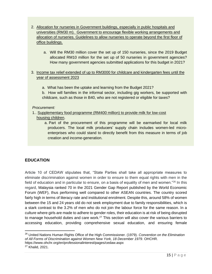- 2. Allocation for nurseries in Government buildings, especially in public hospitals and universities (RM30 m). Government to encourage flexible working arrangements and allocation of nurseries. Guidelines to allow nurseries to operate beyond the first floor of office buildings.
	- a. Will the RM30 million cover the set up of 150 nurseries, since the 2019 Budget allocated RM10 million for the set up of 50 nurseries in government agencies? How many government agencies submitted applications for this budget in 2021?
- 3. Income tax relief extended of up to RM3000 for childcare and kindergarten fees until the year of assessment 2023
	- a. What has been the uptake and learning from the Budget 2021?
	- b. How will families in the informal sector, including gig workers, be supported with childcare, such as those in B40, who are not registered or eligible for taxes?

*Procurement:*

- 1.. Supplementary food programme (RM400 million) to provide milk for low-cost housing children.
	- a. Part of the procurement of this programme will be earmarked for local milk producers. The local milk producers' supply chain includes women-led microenterprises who could stand to directly benefit from this measure in terms of job creation and income-generation.

## <span id="page-14-0"></span>**EDUCATION**

Article 10 of CEDAW stipulates that, "State Parties shall take all appropriate measures to eliminate discrimination against women in order to ensure to them equal rights with men in the field of education and in particular to ensure, on a basis of equality of men and women."<sup>26</sup> In this regard, Malaysia ranked 70 in the 2021 Gender Gap Report published by the World Economic Forum (WEF), thus performing well compared to other ASEAN countries. The country scored fairly high in terms of literacy rate and institutional enrolment. Despite this, around 58% of women between the 15 and 24 years old do not seek employment due to family responsibilities, which is a stark contrast to the 3.2% of men who do not join the labour force for the same reason. In a culture where girls are made to adhere to gender roles, their education is at risk of being disrupted to manage household duties and care work.<sup>27</sup> This section will also cover the various barriers to accessing education, providing comprehensive sexual education, and ensuring female

<sup>26</sup> United Nations Human Rights Office of the High Commissioner. (1979). *Convention on the Elimination of All Forms of Discrimination against Women New York, 18 December 1979*. OHCHR. https://www.ohchr.org/en/professionalinterest/pages/cedaw.aspx

<sup>27</sup> Khalid, 2021.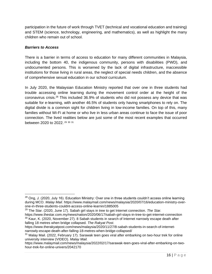participation in the future of work through TVET (technical and vocational education and training) and STEM (science, technology, engineering, and mathematics), as well as highlight the many children who remain out of school.

## *Barriers to Access*

There is a barrier in terms of access to education for many different communities in Malaysia, including the bottom 40, the indigenous community, persons with disabilities (PWD), and undocumented persons. This is worsened by the lack of digital infrastructure, inaccessible institutions for those living in rural areas, the neglect of special needs children, and the absence of comprehensive sexual education in our school curriculum.

In July 2020, the Malaysian Education Ministry reported that over one in three students had trouble accessing online learning during the movement control order at the height of the coronavirus crisis.<sup>28</sup> This included 36.9% of students who did not possess any device that was suitable for e-learning, with another 46.5% of students only having smartphones to rely on. The digital divide is a common sight for children living in low-income families. On top of this, many families without Wi-Fi at home or who live in less urban areas continue to face the issue of poor connection. The lived realities below are just some of the most recent examples that occurred between 2020 to 2022. <sup>29</sup> <sup>30</sup> <sup>31</sup>

<sup>29</sup> The Star. (2020, June 17). Sabah girl stays in tree to get Internet connection. *The Star.*  https://www.thestar.com.my/news/nation/2020/06/17/sabah-girl-stays-in-tree-to-get-internet-connection <sup>30</sup> Kaur, K. (2020, November 27). 8 Sabah students in search of Internet narrowly escape death after

<sup>&</sup>lt;sup>28</sup> Ong. J. (2020, July 16). Education Ministry: Over one in three students couldn't access online learning during MCO. *Malay Mail.* https://www.malaymail.com/news/malaysia/2020/07/16/education-ministry-overone-in-three-students-couldnt-access-online-learnin/1885005

falling 18 metres when bridge collapsed. *The Rakyat Post*. https://www.therakyatpost.com/news/malaysia/2020/11/27/8-sabah-students-in-search-of-internetnarrowly-escape-death-after-falling-18-metres-when-bridge-collapsed/

<sup>&</sup>lt;sup>31</sup> Malay Mail. (2022, February 17). Sarawak teen goes viral after embarking on two-hour trek for online university interview (VIDEO). *Malay Mail.* 

https://www.malaymail.com/news/malaysia/2022/02/17/sarawak-teen-goes-viral-after-embarking-on-twohour-trek-for-online-univers/2042170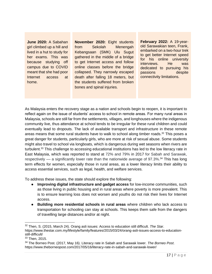**June 2020:** A Sabahan girl climbed up a hill and lived in a hut to study for her exams. This was because studying off campus due to COVID meant that she had poor Internet access at home.

**November 2020:** Eight students from Sekolah Menengah Kebangsaan (SMK) Ulu Sugut gathered in the middle of a bridge to get Internet access and follow online classes before the bridge collapsed. They narrowly escaped death after falling 18 meters, but the students suffered from broken bones and spinal injuries.

**February 2022:** A 19-yearold Sarawakian teen, Frank, embarked on a two-hour trek to get better Internet speed for his online university interviews. He was dedicated to pursuing his passions despite connectivity limitations.

As Malaysia enters the recovery stage as a nation and schools begin to reopen, it is important to reflect again on the issue of students' access to school in remote areas. For many rural areas in Malaysia, schools are still far from the settlements, villages, and longhouses where the indigenous community live, thus attendance at school tends to be irregular for these rural children and could eventually lead to dropouts. The lack of available transport and infrastructure in these remote areas means that some rural students have to walk to school along timber roads.<sup>32</sup> This poses a great danger for students, particularly girls, who are more at risk of sexual abuse. Some students might also travel to school via longboats, which is dangerous during wet seasons when rivers are turbulent.<sup>33</sup> This challenge to accessing educational institutions has led to the low literacy rate in East Malaysia, which was reported to stand at 72% and 79% in 2017 for Sabah and Sarawak, respectively  $-$  a significantly lower rate than the nationwide average of 97.3%.<sup>34</sup> This has long term effects for women, especially those in rural areas, as a lower literacy limits their ability to access essential services, such as legal, health, and welfare services.

To address these issues, the state should explore the following:

- **Improving digital infrastructure and gadget access** for low-income communities, such as those living in public housing and in rural areas where poverty is more prevalent. This is to ensure learning loss does not worsen and youths do not risk their lives for Internet access.
- **Building more residential schools in rural areas** where children who lack access to transportation for schooling can stay at schools. This keeps them safe from the dangers of travelling large distances and/or at night.

<sup>32</sup> Then, S. (2015, March 24). Orang asli issues: Access to education still difficult. *The Star*. https://www.thestar.com.my/lifestyle/family/features/2015/03/24/orang-asli-issues-access-to-educationstill-difficult/

<sup>33</sup> Then, 2015.

<sup>34</sup> The Borneo Post. (2017, May 16). Literacy rate in Sabah and Sarawak lower. *The Borneo Post*. https://www.theborneopost.com/2017/05/16/literacy-rate-in-sabah-and-sarawak-lower/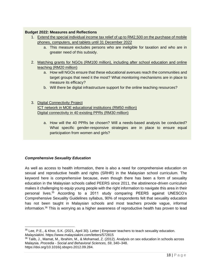## **Budget 2022: Measures and Reflections**

- 1. Extend the special individual income tax relief of up to RM2,500 on the purchase of mobile phones, computers, and tablets until 31 December 2022
	- a. This measure excludes persons who are ineligible for taxation and who are in greater need of this subsidy.
- 2. Matching grants for NGOs (RM100 million), including after school education and online teaching (RM20 million)
	- a. How will NGOs ensure that these educational avenues reach the communities and target groups that need it the most? What monitoring mechanisms are in place to measure its efficacy?
	- b. Will there be digital infrastructure support for the online teaching resources?

## 3. Digital Connectivity Project ICT network in MOE educational institutions (RM50 million) Digital connectivity in 40 existing PPRs (RM30 million)

a. How will the 40 PPRs be chosen? Will a needs-based analysis be conducted? What specific gender-responsive strategies are in place to ensure equal participation from women and girls?

## *Comprehensive Sexuality Education*

As well as access to health information, there is also a need for comprehensive education on sexual and reproductive health and rights (SRHR) in the Malaysian school curriculum. The keyword here is *comprehensive* because, even though there has been a form of sexuality education in the Malaysian schools called PEERS since 2011, the abstinence-driven curriculum makes it challenging to equip young people with the right information to navigate this area in their personal lives. <sup>35</sup> According to a 2011 study comparing PEERS against UNESCO's Comprehensive Sexuality Guidelines syllabus, 90% of respondents felt that sexuality education has not been taught in Malaysian schools and most teachers provide vague, informal information.<sup>36</sup> This is worrying as a higher awareness of reproductive health has proven to lead

<sup>35</sup> Lee, P.E., & Khor, S.K. (2021, April 30). Letter | Empower teachers to teach sexuality education. *Malaysiakini.* https://www.malaysiakini.com/letters/572815

<sup>36</sup> Talib, J., Mamat, M., Ibrahim, M., & Mohamad, Z. (2012). Analysis on sex education in schools across Malaysia. *Procedia - Social and Behavioral Sciences, 59*, 340–348. https://doi.org/10.1016/j.sbspro.2012.09.284.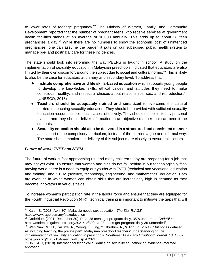to lower rates of teenage pregnancy.<sup>37</sup> The Ministry of Women, Family, and Community Development reported that the number of pregnant teens who receive services at government health facilities stands at an average of 10,000 annually. This adds up to about 28 teen pregnancies a day.<sup>38</sup> While there are no numbers to show the economic cost of unintended pregnancies, one can assume the burden it puts on our subsidised public health system to manage pre- and postnatal care for these incidences.

The state should look into reforming the way PEERS is taught in school. A study on the implementation of sexuality education in Malaysian preschools indicated that educators are also limited by their own discomfort around the subject due to social and cultural norms.<sup>39</sup> This is likely to also be the case for educators at primary and secondary level. To address this:

- **Institute comprehensive and life skills-based education** which supports young people to develop the knowledge, skills, ethical values, and attitudes they need to make conscious, healthy, and respectful choices about relationships, sex, and reproduction. 40 (UNESCO, 2018)
- **Teachers should be adequately trained and sensitized** to overcome the cultural barriers to teaching sexuality education. They should be provided with sufficient sexuality education resources to conduct classes effectively. They should not be limited by personal biases, and they should deliver information in an objective manner that can benefit the students.
- **Sexuality education should also be delivered in a structured and consistent manner**  as it is part of the compulsory curriculum, instead of the current vague and informal way. The state should monitor the delivery of this subject more closely to ensure this occurs.

## *Future of work: TVET and STEM*

The future of work is fast approaching us, and many children today are preparing for a job that may not yet exist. To ensure that women and girls do not fall behind in our technologically fastmoving world, there is a need to equip our youths with TVET (technical and vocational education and training) and STEM (science, technology, engineering, and mathematics) education. Both are avenues in which women can obtain skills that are increasingly high in demand as they become innovators in various fields.

To increase women's participation rate in the labour force and ensure that they are equipped for the Fourth Industrial Revolution (4IR), technical training is important to mitigate the gaps that will

<sup>38</sup> CodeBlue. (2021, December 30). Rina: 28 teens get pregnant daily, 35% unmarried. *CodeBlue*. https://codeblue.galencentre.org/2021/12/30/rina-28-teens-get-pregnant-daily-35-unmarried/

<sup>37</sup> Kaler, S. (2018, April 30). Malaysia needs sex education. *The Star R.AGE*. https://www.rage.com.my/sexeducation

<sup>39</sup> Wan Nawi, W. N., Kai Sze, A., Yeong, L., Ling, Y., Ibrahim, A., & Jing, V. (2021). "But not as detailed as including teaching the private part": Malaysian preschool teachers' understanding on the implementation of sexuality education in preschools. *Southeast Asia Early Childhood Journal, 10,* 40-52. https://doi.org/10.37134/saecj.vol10.sp.4.2021

<sup>40</sup> UNESCO, (2018). International technical guidance on sexuality education: an evidence-informed approach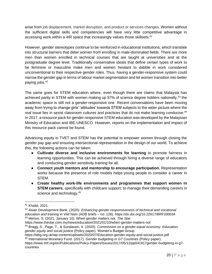arise from job displacement, market disruption, and product or services changes. Women without the sufficient digital skills and competencies will have very little competitive advantage in accessing work within a 4IR space that increasingly values those skillsets.<sup>41</sup>

However, gender stereotypes continue to be reinforced in educational institutions, which translate into structural barriers that deter women from enrolling in male-dominated fields. There are more men than women enrolled in technical courses that are taught at universities and at the postgraduate degree level. Traditionally conservative ideals that define certain types of work to be feminine or masculine make men and women hesitant to dabble in work considered unconventional to their respective gender roles. Thus, having a gender-responsive system could narrow the gender gap in terms of labour market segmentation and let women transition into better paying jobs.<sup>42</sup>

The same goes for STEM education where, even though there are claims that Malaysia has achieved parity in STEM with women making up 57% of science degree holders nationally,<sup>43</sup> the academic space is still not a gender-responsive one. Recent conversations have been moving away from trying to change girls' 'attitudes' towards STEM subjects to the wider picture where the real issue lies in sexist classroom cultures and practices that do not make learning conducive.<sup>44</sup> In 2017, a resource pack for gender-responsive STEM education was developed by the Malaysian Ministry of Education and IBE-UNESCO. However, reports on the implementation and impact of this resource pack cannot be found.

Advancing equity in TVET and STEM has the potential to empower women through closing the gender pay gap and ensuring intersectional representation in the design of our world. To achieve this, the following actions can be taken:

- **Cultivate diverse and inclusive environments for learning** to promote fairness in learning opportunities. This can be achieved through hiring a diverse range of educators and conducting gender-sensitivity training for all.
- **Connect youth mentors and mentorship to encourage participation.** Representation works because the presence of role models helps young people to consider a career in STEM.
- **Create healthy work-life environments and programmes that support women in STEM careers**, specifically with childcare support, to manage their demanding careers in science and technology.<sup>45</sup>

<sup>41</sup> Khalid, 2021.

<sup>42</sup> Asian Development Bank. (2020). *Enhancing gender-responsiveness of technical and vocational education and training in Viet Nam* (ADB briefs – no. 126). https://dx.doi.org/10.22617/BRF200034 <sup>43</sup> Menon, S. (2021, January 10). When gender matters not. *The Star.*  https://www.thestar.com.my/news/education/2021/01/10/when-gender-matters-not

<sup>44</sup> Bragg, S., Page, T., & Sundaram, V. (2020). *Commission on a gender-equal economy: Education, gender equity and social justice* (Policy paper)*.* Women's Budget Group.

https://wbg.org.uk/wp-content/uploads/2020/07/Education-gender-equity-and-social-justice.pdf <sup>45</sup> International Monetary Fund. (2017). *Gender budgeting in G7 Countries* (Policy paper).

https://www.imf.org/en/Publications/Policy-Papers/Issues/2017/05/12/pp041917gender-budgeting-in-g7 countries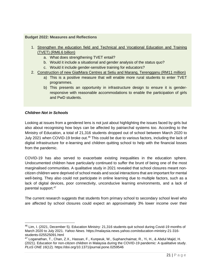#### **Budget 2022: Measures and Reflections**

- 1. Strengthen the education field and Technical and Vocational Education and Training (TVET) (RM6.6 billion)
	- a. What does strengthening TVET entail?
	- b. Would it include a situational and gender analysis of the status quo?
	- c. Would it include gender-sensitive training for educators?
- 2. Construction of new GiatMara Centres at Setiu and Marang, Terengganu (RM11 million)
	- a) This is a positive measure that will enable more rural students to enter TVET programmes.
	- b) This presents an opportunity in infrastructure design to ensure it is genderresponsive with reasonable accommodations to enable the participation of girls and PwD students.

#### *Children Not in Schools*

Looking at issues from a gendered lens is not just about highlighting the issues faced by girls but also about recognising how boys can be affected by patriarchal systems too. According to the Ministry of Education, a total of 21,316 students dropped out of school between March 2020 to July 2021 when COVID-19 broke out.<sup>46</sup> This could be due to various factors, including the lack of digital infrastructure for e-learning and children quitting school to help with the financial losses from the pandemic.

COVID-19 has also served to exacerbate existing inequalities in the education sphere. Undocumented children have particularly continued to suffer the brunt of being one of the most marginalised communities. A qualitative study in 2021 revealed that school closures meant noncitizen children were deprived of school meals and social interactions that are important for mental well-being. They also could not participate in online learning due to multiple factors, such as a lack of digital devices, poor connectivity, unconducive learning environments, and a lack of parental support.<sup>47</sup>

The current research suggests that students from primary school to secondary school level who are affected by school closures could expect an approximately 3% lower income over their

<sup>&</sup>lt;sup>46</sup> Lim, I. (2021, December 5). Education Ministry: 21,316 students quit school during Covid-19 months of March 2020 to July 2021. *Yahoo News.* https://malaysia.news.yahoo.com/education-ministry-21-316 students-025525091.html

<sup>47</sup> Loganathan, T., Chan, Z.X., Hassan, F., Kunpeuk, W., Suphanchaimat, R., Yi, H., & Abdul Majid, H. (2021). Education for non-citizen children in Malaysia during the COVID-19 pandemic: A qualitative study. *PLoS ONE 16*(12). https://doi.org/10.1371/journal.pone.0259546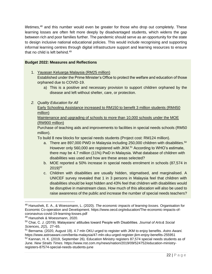lifetimes,<sup>48</sup> and this number would even be greater for those who drop out completely. These learning losses are often felt more deeply by disadvantaged students, which widens the gap between rich and poor families further. The pandemic should serve as an opportunity for the state to design inclusive national educational policies. This would include recognising and supporting informal learning centres through digital infrastructure support and learning resources to ensure that no child is left behind.<sup>49</sup>

## **Budget 2022: Measures and Reflections**

- 1. Yayasan Keluarga Malaysia (RM25 million) Established under the Prime Minister's Office to protect the welfare and education of those orphaned due to COVID-19.
	- a) This is a positive and necessary provision to support children orphaned by the disease and left without shelter, care, or protection.
- *2. Quality Education for All*

Early Schooling Assistance increased to RM150 to benefit 3 million students (RM450 million)

Maintenance and upgrading of schools to more than 10,000 schools under the MOE (RM900 million)

Purchase of teaching aids and improvements to facilities in special needs schools (RM50 million).

To build 8 new blocks for special needs students (Project cost: RM124 million).

- a. There are 897,000 PWD in Malaysia including  $250,000$  children with disabilities.<sup>50</sup> However only 560,000 are registered with JKM. <sup>51</sup> According to WHO's estimate, there may be 4.7 million (11%) PwD in Malaysia. What database of children with disabilities was used and how are these areas selected?
- b. MOE reported a 50% increase in special needs enrolment in schools (87,574 in  $2019$ <sup>52</sup>
- c. Children with disabilities are usually hidden, stigmatised, and marginalised. A UNICEF survey revealed that 1 in 3 persons in Malaysia feel that children with disabilities should be kept hidden and 43% feel that children with disabilities would be disruptive in mainstream class. How much of this allocation will also be used to raise awareness of the public and increase the number of special needs teachers?

<sup>48</sup> Hanushek, E. A., & Woessmann, L. (2020). *The economic impacts of learning losses.* Organisation for Economic Co-operation and Development. https://www.oecd.org/education/The-economic-impacts-ofcoronavirus-covid-19-learning-losses.pdf

<sup>49</sup> Hanushek & Woessmann, 2020.

<sup>50</sup> Chai, C. J. (2019). Malaysians' attitudes toward People with Disabilities. *Journal of Arts& Social Sciences, 2*(2), 27–65.

<sup>51</sup> Bernama. (2020, August 19). 4.7 mln OKU urged to register with JKM to enjoy benefits. *Astro Awani.* https://www.astroawani.com/berita-malaysia/47-mln-oku-urged-register-jkm-enjoy-benefits-255951

<sup>&</sup>lt;sup>52</sup> Kannan, H. K. (2019, September 26). Education Ministry registers 87,574 special needs students as of June. *New Straits Times.* https://www.nst.com.my/news/nation/2019/09/524752/education-ministryregisters-87574-special-needs-students-june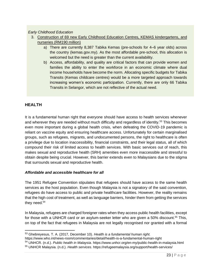## *Early Childhood Education*

- 3. Construction of 69 new Early Childhood Education Centres, KEMAS kindergartens, and nurseries (RM190 million)
	- a) There are currently 8,387 Tabika Kemas (pre-schools for 4–6 year olds) across the country (kemas.gov.my). As the most affordable pre-school, this allocation is welcomed but the need is greater than the current availability.
	- b) Access, affordability, and quality are critical factors that can provide women and families the ability to enter the workforce in an economic climate where dual income households have become the norm. Allocating specific budgets for Tabika Transits (Kemas childcare centres) would be a more targeted approach towards increasing women's economic participation. Currently, there are only 66 Tabika Transits in Selangor, which are not reflective of the actual need.

## <span id="page-22-0"></span>**HEALTH**

It is a fundamental human right that everyone should have access to health services whenever and wherever they are needed without much difficulty and regardless of identity.<sup>53</sup> This becomes even more important during a global health crisis, when defeating the COVID-19 pandemic is reliant on vaccine equity and ensuring healthcare access. Unfortunately for certain marginalised groups, such as refugees, migrants, and undocumented persons, the right to healthcare is often a privilege due to location inaccessibility, financial constraints, and their legal status, all of which compound their risk of limited access to health services. With basic services out of reach, this makes sexual and reproductive health (SRH) amenities even more inaccessible and stressful to obtain despite being crucial. However, this barrier extends even to Malaysians due to the stigma that surrounds sexual and reproductive health.

## *Affordable and accessible healthcare for all*

The 1951 Refugee Convention stipulates that refugees should have access to the same health services as the host population. Even though Malaysia is not a signatory of the said convention, refugees do have access to public and private healthcare facilities. However, the reality remains that the high cost of treatment, as well as language barriers, hinder them from getting the services they need.<sup>54</sup>

In Malaysia, refugees are charged foreigner rates when they access public health facilities, except for those with a UNHCR card or an asylum-seeker letter who are given a 50% discount.<sup>55</sup> This, on top of the fact that refugees in Malaysia are not legally recognised nor granted with a formal

<sup>53</sup> Ghebreyesus, T. A. (2017, December 10). *Health is a fundamental human right.* 

https://www.who.int/news-room/commentaries/detail/health-is-a-fundamental-human-right

<sup>54</sup> UNHCR. (n.d.). *Public health in Malaysia*. https://www.unhcr.org/en-my/public-health-in-malaysia.html

<sup>55</sup> UNHCR Malaysia. (n.d.). *Health services*. https://refugeemalaysia.org/support/health-services/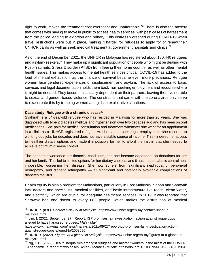right to work, makes the treatment cost exorbitant and unaffordable.<sup>56</sup> There is also the anxiety that comes with having to move in public to access health services, with past cases of harassment from the police leading to extortion and bribery. This distress worsened during COVID-19 when travel restrictions were put in place, making it harder for refugees to apply for or renew their UNHCR cards as well as seek medical treatment at government hospitals and clinics.<sup>57</sup>

As of the end of December 2021, the UNHCR in Malaysia has registered about 180,440 refugees and asylum-seekers.<sup>58</sup> They make up a significant population of people who might be dealing with Post-Traumatic Stress Disorder (PTSD) from fleeing their home country, as well as other mental health issues. This makes access to mental health services critical. COVID-19 has added to the load of mental exhaustion, as the chance of survival became even more precarious. Refugee women face gendered experiences of displacement and asylum. The lack of access to basic services and legal documentation holds them back from seeking employment and recourse where it might be needed. They become financially dependent on their partners, leaving them vulnerable to sexual and gender-based violence. The constraints that came with the coronavirus only serve to exacerbate this by trapping women and girls in exploitative situations.

#### **Case study: Refugee with a chronic disease<sup>59</sup>**

Syahirah is a 54-year-old refugee who has resided in Malaysia for more than 20 years. She was diagnosed with type 2 diabetes mellitus and hypertension over two decades ago and has been on oral medications. She paid for medical consultation and treatment whenever she went for an appointment in a clinic as a UNHCR-registered refugee. As she cannot seek legal employment, she resorted to working odd jobs for decades and does not have a stable source of income. This hindered her access to healthier dietary options and made it impossible for her to afford the insulin that she needed to achieve optimum disease control.

The pandemic worsened her financial conditions, and she became dependent on donations for her and her family. This led to limited options for her dietary choices, and it has made diabetic control near impossible, worsening her disease. She now suffers from significant nephropathy, peripheral neuropathy, and diabetic retinopathy - all significant and potentially avoidable complications of diabetes mellitus.

Health equity is also a problem for Malaysians, particularly in East Malaysia. Sabah and Sarawak lack doctors and specialists, medical facilities, and basic infrastructure like roads, clean water, and electricity, which are crucial for adequate healthcare services. In 2019, it was reported that Sarawak had one doctor to every 682 people, which makes the distribution of medical

<sup>56</sup> UNHCR. (n.d.). *Contact UNHCR in Malaysia.* https://www.unhcr.org/en-my/contact-unhcr-inmalaysia.html

<sup>&</sup>lt;sup>57</sup> Lim, I. (2021, September 27). Report: IGP promises fair investigation, action against rogue cops alleged to have harassed refugees. *Malay Mail*.

https://www.malaymail.com/news/malaysia/2021/09/27/report-igp-promises-fair-investigation-actionagainst-rogue-cops-alleged-to/2008696

<sup>58</sup> UNHCR. (2022). *Figures at a glance in Malaysia.* https://www.unhcr.org/en-my/figures-at-a-glance-inmalaysia.html

<sup>59</sup> Ng, S.H. (2022). Health inequalities amongst refugees and migrant workers in the midst of the COVID-19 pandemic: a report of two cases. *Asian Bioethics Review*. https://doi.org/10.1007/s41649-021-00198-8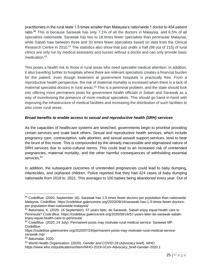practitioners in the rural state 1.5 times smaller than Malaysia's nationwide 1 doctor to 454 patient ratio.<sup>60</sup> This is because Sarawak has only 7.1% of all the doctors in Malaysia, and 6.5% of all specialists nationwide. Sarawak has two to 18 times fewer specialists than peninsular Malaysia, while Sabah haw between three and 33 times fewer specialists based on data from the Clinical Research Centre in 2010.<sup>61</sup> The statistics also show that just under a half (98 out of 215) of rural clinics are only run by medical assistants and nurses without a doctor and can only provide basic medication.<sup>62</sup>

This poses a health risk to those in rural areas who need specialist medical attention. In addition, it also travelling further to hospitals where there are relevant specialists creates a financial burden for the patient, even though treatment at government hospitals is practically free. From a reproductive health perspective, the risk of maternal mortality is increased when there is a lack of maternal specialist doctors in rural areas.<sup>63</sup> This is a perennial problem, and the state should look into offering more permanent posts for government health officials in Sabah and Sarawak as a way of incentivising the presence of more medical specialists. This should go hand-in-hand with improving the infrastructure of medical facilities and increasing the distribution of such facilities to also cover rural areas.

## *Broad benefits to enable access to sexual and reproductive health (SRH) services*

As the capacities of healthcare systems are stretched, governments begin to prioritise providing certain services and scale back others. Sexual and reproductive health services, which include pregnancy care, contraception, safe abortion, and sexual assault support services, tend to bear the brunt of this move. This is compounded by the already inaccessible and stigmatised nature of SRH services due to socio-cultural norms. This could lead to an increased risk of unintended pregnancies, maternal mortality, and the other harmful consequences of withholding essential services.<sup>64</sup>

In addition, the subsequent outcomes of unintended pregnancies could lead to baby dumping, infanticides, and orphaned children. Police reported that they had 424 cases of baby dumping nationwide from 2018 to 2021. This averages to 100 babies being abandoned every year. Out of

 $60$  CodeBlue. (2020, September 16). Sarawak has 1.5 times fewer doctors per population than nationwide Malaysia. *CodeBlue.* https://codeblue.galencentre.org/2020/09/16/sarawak-has-1-5-times-fewer-doctorsper-population-than-nationwide-malaysia/

 $61$  Batumalai, K. (2020, 16 September). 57 years later, do Sarawak, Sabah enjoy equal health care to Peninsula? *Code Blue.* https://codeblue.galencentre.org/2020/09/16/57-years-later-do-sarawak-sabahenjoy-equal-health-care-to-peninsula/

 $62$  CodeBlue. (2020, 24 July). Permanent posts may motivate rural medical service: Sarawak MP. *CodeBlue.*

https://codeblue.galencentre.org/2020/07/24/permanent-posts-may-motivate-rural-medical-servicesarawak-mp/

<sup>63</sup> Batumalai, 2020.

<sup>64</sup> World Health Organisation. (2020). *Gender and COVID-19* (Advocacy brief). WHO. https://www.who.int/publications/i/item/WHO-2019-nCoV-Advocacy\_brief-Gender-2020.1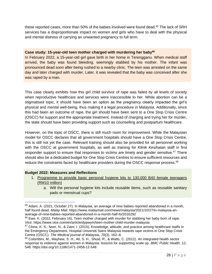these reported cases, more than 50% of the babies involved were found dead.<sup>65</sup> The lack of SRH services has a disproportionate impact on women and girls who have to deal with the physical and mental distress of carrying an unwanted pregnancy to full term.

#### **Case study: 15-year-old teen mother charged with murdering her baby<sup>66</sup>**

In February 2022, a 15-year-old girl gave birth in her home in Terengganu. When medical staff arrived, the baby was found bleeding, seemingly stabbed by his mother. The infant was pronounced dead soon after being rushed to a nearby clinic. The teen was arrested on the same day and later charged with murder. Later, it was revealed that the baby was conceived after she was raped by a man.

This case clearly exhibits how this girl child survivor of rape was failed by all levels of society when reproductive healthcare and services were inaccessible to her. While abortion can be a stigmatised topic, it should have been an option as the pregnancy clearly impacted the girl's physical and mental well-being, thus making it a legal procedure in Malaysia. Additionally, since this had been an outcome of rape, the girl should have been sent to a One Stop Crisis Centre (OSCC) for support and the appropriate treatment. Instead of charging and trying her for murder, the state should have been providing support such as counselling and postpartum healthcare.

However, on the topic of OSCC, there is still much room for improvement. While the Malaysian model for OSCC declares that all government hospitals should have a One Stop Crisis Centre, this is still not yet the case. Relevant training should also be provided for all personnel working with the OSCC at government hospitals, as well as training for *Klinik Kesihatan* staff in first responder support to ensure that responses to victims are timely and gender sensitive.<sup>67</sup> There should also be a dedicated budget for One Stop Crisis Centres to ensure sufficient resources and reduce the constraints faced by healthcare providers during the OSCC response process.<sup>68</sup>

## **Budget 2022: Measures and Reflections**

- 1. Programme to provide basic personal hygiene kits to 130,000 B40 female teenagers (RM10 million)
	- a. Will the personal hygiene kits include reusable items, such as reusable sanitary pads or menstrual cups?

 $65$  Adam, A. (2021, October 27). In Malaysia, an average of nine babies reported abandoned in a month, half found dead. *Malay Mail*. https://www.malaymail.com/news/malaysia/2021/10/27/in-malaysia-anaverage-of-nine-babies-reported-abandoned-in-a-month-half-fo/2016292

 $66$  Ewe, K. (2022, February 16). Teen mother charged with murder for stabbing her baby born of rape. *Vice*. https://www.vice.com/en/article/dypwym/teen-mother-child-murder-malaysia

 $67$  Chew, K. S., Noor, N., & Zaini, I. (2015). Knowledge, attitude, and practice among healthcare staffs in the Emergency Department, Hospital Universiti Sains Malaysia towards rape victims in One Stop Crisis Centre (OSCC). *The Medical journal of Malaysia*, *70*(3), 162–8.

<sup>68</sup> Colombini, M., Mayhew, S. H., Ali, S. H., Shuid, R., & Watts, C. (2012). An integrated health sector response to violence against women in Malaysia: lessons for supporting scale up. *BMC Public Health, 12*, 548. https://doi.org/10.1186/1471-2458-12-548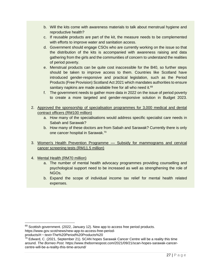- b. Will the kits come with awareness materials to talk about menstrual hygiene and reproductive health?
- c. If reusable products are part of the kit, the measure needs to be complemented with efforts to improve water and sanitation access.
- d. Government should engage CSOs who are currently working on the issue so that the distribution of the kits is accompanied with awareness raising and data gathering from the girls and the communities of concern to understand the realities of period poverty.
- e. Menstrual products can be quite cost inaccessible for the B40, so further steps should be taken to improve access to them. Countries like Scotland have introduced gender-responsive and practical legislation, such as the Period Products (Free Provision) Scotland Act 2021 which mandates authorities to ensure sanitary napkins are made available free for all who need it.<sup>69</sup>
- f. The government needs to gather more data in 2022 on the issue of period poverty to create a more targeted and gender-responsive solution in Budget 2023.
- 2. Approved the sponsorship of specialisation programmes for 3,000 medical and dental contract officers (RM100 million)
	- a. How many of the specialisations would address specific specialist care needs in Sabah and Sarawak?
	- b. How many of these doctors are from Sabah and Sarawak? Currently there is only one cancer hospital in Sarawak.<sup>70</sup>
- 3. Women's Health Prevention Programme Subsidy for mammograms and cervical cancer screening tests (RM11.5 million)
- <span id="page-26-0"></span>4. Mental Health (RM70 million)
	- a. The number of mental health advocacy programmes providing counselling and psychological support need to be increased as well as strengthening the role of NGOs.
	- b. Expand the scope of individual income tax relief for mental health related expenses.

 $69$  Scottish government. (2022, January 12). New app to access free period products.

https://www.gov.scot/news/new-app-to-access-free-period-

products/#:~:text=The%20Period%20Products%20

 $^{70}$  Edward, C. (2021, September 21). SCAN hopes Sarawak Cancer Centre will be a reality this time around. *The Borneo Post.* https://www.theborneopost.com/2021/09/21/scan-hopes-sarawak-cancercentre-will-be-a-reality-this-time-around/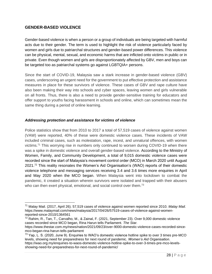## **GENDER-BASED VIOLENCE**

Gender-based violence is when a person or a group of individuals are being targeted with harmful acts due to their gender. The term is used to highlight the risk of violence particularly faced by women and girls due to patriarchal structures and gender-based power differences. This violence can be physical, mental, sexual, and economic harms that are inflicted onto victims in public or in private. Even though women and girls are disproportionately affected by GBV, men and boys can be targeted too as patriarchal systems go against LGBTQIA+ persons.

Since the start of COVID-19, Malaysia saw a stark increase in gender-based violence (GBV) cases, underscoring an urgent need for the government to put effective protection and assistance measures in place for these survivors of violence. These cases of GBV and rape culture have also been making their way into schools and cyber spaces, leaving women and girls vulnerable on all fronts. Thus, there is also a need to provide gender-sensitive training for educators and offer support to youths facing harassment in schools and online, which can sometimes mean the same thing during a period of online learning.

## *Addressing protection and assistance for victims of violence*

Police statistics show that from 2010 to 2017 a total of 57,519 cases of violence against women (VAW) were reported, 40% of these were domestic violence cases. These incidents of VAW included criminal cases, such as molestation, rape, incest, and unnatural offences, with women victims.<sup>71</sup> This worrying rise in numbers only continued to worsen during COVID-19 when there was a spike in domestic violence and overall gender-based violence. According to the Ministry of Women, Family, and Community Development, a total of 9,015 domestic violence cases were recorded since the start of Malaysia's movement control order (MCO) in March 2020 until August 2021.<sup>72</sup> This reality resonates the Women's Aid Organisation's (WAO) reports of their domestic violence telephone and messaging services receiving 3.4 and 3.6 times more enquiries in April and May 2020 when the MCO began. When Malaysia went into lockdown to combat the pandemic, it created a situation wherein survivors were isolated and trapped with their abusers who can then exert physical, emotional, and social control over them.<sup>73</sup>

<sup>71</sup> Malay Mail. (2017, April 26). 57,519 cases of violence against women reported since 2010. *Malay Mail.*  https://www.malaymail.com/news/malaysia/2017/04/26/57519-cases-of-violence-against-womenreported-since-2010/1364561

<sup>72</sup> Rahim, R., Tan, T., Carvalho, M., & Zainal, F. (2021, September 23). Over 9,000 domestic violence cases recorded since MCO began, Rina Harun tells Parliament. *The Star.* 

https://www.thestar.com.my/news/nation/2021/09/23/over-9000-domestic-violence-cases-recorded-sincemco-began-rina-harun-tells-parliament

<sup>&</sup>lt;sup>73</sup> Yap, L. S. (2020, June 9). Enquiries to WAO's domestic violence hotline spike to over 3 times pre-MCO levels, showing need for preparedness for next round of pandemic. *Women's Aid Organisation*. https://wao.org.my/enquiries-to-waos-domestic-violence-hotline-spike-to-over-3-times-pre-mco-levels-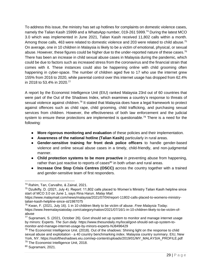To address this issue, the ministry has set up hotlines for complaints on domestic violence cases, namely the Talian Kasih 15999 and a WhatsApp number, 019-261 5999.<sup>74</sup> During the latest MCO 3.0 which was implemented in June 2021, Talian Kasih received 11,802 calls within a month. Among those calls, 463 were related to domestic violence and 203 were related to child abuse.<sup>75</sup> On average, one in 10 children in Malaysia is likely to be a victim of emotional, physical, or sexual abuse. However, these figures could be higher due to the under-reported nature of these cases.<sup>76</sup> There has been an increase in child sexual abuse cases in Malaysia during the pandemic, which could be due to factors such as increased stress from the coronavirus and the financial strain that comes with it. These instances could also be happening online with child grooming often happening in cyber-space. The number of children aged five to 17 who use the internet grew 155% from 2016 to 2020, while parental control over this internet usage has dropped from 62.4% in 2018 to 53.4% in 2020.<sup>77</sup>

A report by the Economist Intelligence Unit (EIU) ranked Malaysia 23rd out of 60 countries that were part of the Out of the Shadows Index, which examines a country's response to threats of sexual violence against children.<sup>78</sup> It stated that Malaysia does have a legal framework to protect against offences such as child rape, child grooming, child trafficking, and purchasing sexual services from children. However, the effectiveness of both law enforcement and the judicial system to ensure these protections are implemented is questionable.<sup>79</sup> There is a need for the following:

- **More rigorous monitoring and evaluation** of these policies and their implementation.
- **Awareness of the national hotline (Talian Kasih)** particularly in rural areas.
- **Gender-sensitive training for front desk police officers** to handle gender-based violence and online sexual abuse cases in a timely, child-friendly, and non-judgmental manner.
- **Child protection systems to be more proactive** in preventing abuse from happening, rather than just reactive to reports of cases<sup>80</sup> in both urban and rural areas.
- **Increase One Stop Crisis Centres (OSCC)** across the country together with a trained and gender-sensitive team of first responders.

<sup>74</sup> Rahim, Tan, Carvalho, & Zainal, 2021.

<sup>75</sup> Dzulkifly, D. (2021, July 4). Report: 11,802 calls placed to Women's Ministry Talian Kasih helpline since start of MCO 3.0 on June 1, says Rina Harun. *Malay Mail*.

https://www.malaymail.com/news/malaysia/2021/07/04/report-11802-calls-placed-to-womens-ministrytalian-kasih-helpline-since-st/1987075

<sup>76</sup> Kwan, F. (2021, July 16). 1 in 10 children likely to be victim of abuse. *Free Malaysia Today*. https://www.freemalaysiatoday.com/category/nation/2021/07/16/1-in-10-children-likely-to-be-victim-ofabuse

<sup>77</sup> Supramani, S. (2021, October 26). Govt should set up system to monitor and manage internet usage by minors: Experts. *The Sun daily.* https://www.thesundaily.my/local/govt-should-set-up-system-tomonitor-and-manage-internet-usage-by-minors-experts-NJ8496429

<sup>&</sup>lt;sup>78</sup> The Economist Intelligence Unit. (2018). Out of the shadows: Shining light on the response to child sexual abuse and exploitation - a 40 country benchmarking index. Malaysia country summary. EIU, New York, NY. https://outoftheshadows.eiu.com/wp-content/uploads/2019/01/MY\_MALAYSIA\_PROFILE.pdf

<sup>&</sup>lt;sup>79</sup> The Economist Intelligence Unit, 2018.

<sup>80</sup> Supramani, 2021.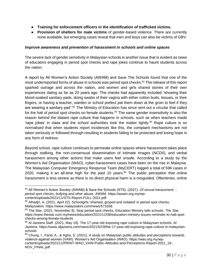- **Training for enforcement officers in the identification of trafficked victims.**
- **Provision of shelters for male victims** of gender-based violence. There are currently none available, but emerging cases reveal that men and boys can also be victims of GBV.

#### *Improve awareness and prevention of harassment in schools and online spaces*

The severe lack of gender sensitivity in Malaysian schools is another issue that is evident as news of educators engaging in period spot checks and rape jokes continue to haunt students across the nation.

A report by All Women's Action Society (AWAM) and Save The Schools found that one of the most underreported forms of abuse in schools was period spot checks.<sup>81</sup> The release of this report sparked outrage and across the nation, and women and girls shared stories of their own experiences dating as far as 20 years ago. The checks had apparently included "showing their blood-soaked sanitary pads, doing swabs of their vagina with either cotton buds, tissues, or their fingers, or having a teacher, warden or school prefect pat them down at the groin to feel if they are wearing a sanitary pad".<sup>82</sup> The Ministry of Education has since sent out a circular that called for the halt of period spot checks on female students. $83$  The same gender insensitivity is also the reason behind the blatant rape culture that happens in schools, such as when teachers made 'rape jokes' in class and the school authorities took the matter lightly. $84$  Rape culture is so normalised that when students report incidences like this, the complaint mechanisms are not taken seriously or followed through resulting in students failing to be protected and losing hope in any form of redress.

Beyond school, rape culture continues to permeate online spaces where harassment takes place through stalking, the non-consensual dissemination of intimate images (NCDII), and verbal harassment among other actions that make users feel unsafe. According to a study by the Women's Aid Organisation (WAO), cyber-harassment cases have been on the rise in Malaysia. The Malaysian Computer Emergency Response Team (MyCERT) logged a total of 596 cases in 2020, making it an all-time high for the past 10 years. $85$  The public perception that online harassment is less severe as there is no direct physical harm is a misguided. Oftentimes, online

<sup>81</sup> All Women's Action Society (AWAM) & Save the Schools (STS). (2021). *Of sexual harassment, period spot checks, bullying and other abuse.* AWAM. https://awam.org.my/wpcontent/uploads/2021/11/STS-Report-FULL-2021.pdf

 $82$  Alhadjri, A. (2021, April 22). Schoolgirls 'shamed, groped and violated' in period spot checks. *Malaysiakini.* https://www.malaysiakini.com/news/571658

<sup>83</sup> The Star. (2021, November 8). Stop period spot checks, Education Ministry tells schools. *The Star.*  https://www.thestar.com.my/news/education/2021/11/08/education-ministry-issues-reminder-to-halt-spotchecks-among-female-students

<sup>84</sup> Al Jazeera Staff. (2021, May 19). The 17-year-old exposing rape culture in Malaysian schools. *Al Jazeera*. https://www.aljazeera.com/news/2021/5/19/the-17-year-old-exposing-rape-culture-in-malaysianschools

<sup>&</sup>lt;sup>85</sup> Chung, I., Farid, A., & Agha, S. (2021). A study on Malaysian public attitudes and perceptions towards violence against women (VAW). Women's Aid Organisation (WAO). https://wao.org.my/wpcontent/uploads/2021/11/PRINT-WAO\_VAW-Public-Attitudes-and-Perceptions-Report-2021\_19- NOV\_FINAL.pdf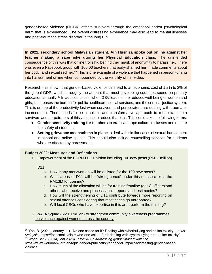gender-based violence (OGBV) affects survivors through the emotional and/or psychological harm that is experienced. The overall distressing experience may also lead to mental illnesses and post-traumatic stress disorder in the long run.

**In 2021, secondary school Malaysian student, Ain Husniza spoke out online against her teacher making a rape joke during her Physical Education class.** The unintended consequence of this was that online trolls hid behind their mask of anonymity to harass her. There was even a Facebook group with 100,00 teachers that body-shamed her, made comments about her body, and sexualised her.<sup>86</sup> This is one example of a violence that happened in person turning into harassment online when compounded by the visibility of her video.

Research has shown that gender-based violence can lead to an economic cost of 1.2% to 2% of the global GDP, which is roughly the amount that most developing countries spend on primary education annually.<sup>87</sup> In addition to this, when GBV leads to the reduced well-being of women and girls, it increases the burden for public healthcare, social services, and the criminal justice system. This is on top of the productivity lost when survivors and perpetrators are dealing with trauma or incarceration. There needs to be a holistic and transformative approach to rehabilitate both survivors and perpetrators of this violence to reduce that loss. This could take the following forms:

- **Gender sensitivity training for teachers** to eradicate rape culture in classes and ensure the safety of students.
- **Setting grievance mechanisms in place** to deal with similar cases of sexual harassment in school and online spaces. This should also include counselling services for students who are affected by harassment.

## **Budget 2022: Measures and Reflections**

1. Empowerment of the PDRM D11 Division including 100 new posts (RM13 million)

D<sub>11</sub>

- a. How many men/women will be enlisted for the 100 new posts?
- b. What areas of D11 will be 'strengthened' under this measure or is the RM13M for training?
- c. How much of the allocation will be for training frontline (desk) officers and others who receive and process victim reports and testimonies?
- d. How will the strengthening of D11 contribute towards more reporting on sexual offences considering that most cases go unreported?
- e. Will local CSOs who have expertise in this area perform the training?

2. WAJA Squad (RM10 million) to strengthen community awareness programmes on violence against women across the country.

<sup>86</sup> Yeo, B. (2021, January 11). "No one asked for it": Dealing with cyberbullying and online toxicity. *Focus Malaysia*. https://focusmalaysia.my/no-one-asked-for-it-dealing-with-cyberbullying-and-online-toxicity/ <sup>87</sup> World Bank. (2014). *enGENDER IMPACT: Addressing gender-based violence*.

https://www.worldbank.org/en/topic/gender/publication/engender-impact-addressing-gender-basedviolence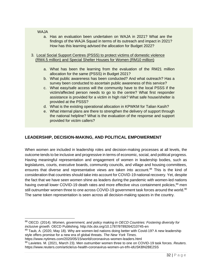#### WAJA

a. Has an evaluation been undertaken on WAJA in 2021? What are the findings of the WAJA Squad in terms of its outreach and impact in 2021? How has this learning advised the allocation for Budget 2022?

#### 3. Local Social Support Centres (PSSS) to protect victims of domestic violence (RM4.5 million) and Special Shelter Houses for Women (RM10 million)

- a. What has been the learning from the evaluation of the RM21 million allocation for the same (PSSS) in Budget 2021?
- b. What public awareness has been conducted? And what outreach? Has a survey been conducted to ascertain public awareness of this service?
- c. What easy/safe access will the community have to the local PSSS if the victim/affected person needs to go to the centre? What first responder assistance is provided for a victim in high risk? What safe house/shelter is provided at the PSSS?
- d. What is the existing operational allocation in KPWKM for Talian Kasih?
- e. What internal plans are there to strengthen the delivery of support through the national helpline? What is the evaluation of the response and support provided for victim callers?

## <span id="page-31-0"></span>**LEADERSHIP, DECISION-MAKING, AND POLITICAL EMPOWERMENT**

When women are included in leadership roles and decision-making processes at all levels, the outcome tends to be inclusive and progressive in terms of economic, social, and political progress. Having meaningful representation and engagement of women in leadership bodies, such as legislatures, courts, executive boards, community councils, and village and housing committees, ensures that diverse and representative views are taken into account.<sup>88</sup> This is the kind of consideration that countries should take into account for COVID-19 national recovery. Yet, despite the fact that we have seen women shine as leaders during the pandemic with women-led nations having overall lower COVID-19 death rates and more effective virus containment policies,<sup>89</sup> men still outnumber women three to one across COVID-19 government task forces around the world.<sup>90</sup> The same token representation is seen across all decision-making spaces in the country.

<sup>88</sup> OECD. (2014). *Women, government, and policy making in OECD Countries: Fostering diversity for inclusive growth.* OECD Publishing. http://dx.doi.org/10.1787/9789264210745-en

<sup>89</sup> Taub, A. (2020, May 18). Why are women-led nations doing better with Covid-19? A new leadership style offers promise for a new era of global threats. *The New York Times*.

https://www.nytimes.com/2020/05/15/world/coronavirus-women-leaders.html

<sup>90</sup> Lavietes. M. (2021, March 23). Men outnumber women three to one on COVID-19 task forces. *Reuters.*  https://www.reuters.com/article/us-health-coronavirus-women-un-trfn-idUSKBN2BE2SS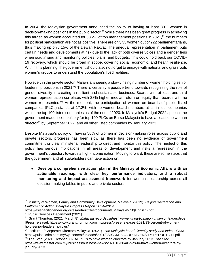In 2004, the Malaysian government announced the policy of having at least 30% women in decision-making positions in the public sector.<sup>91</sup> While there has been great progress in achieving this target, as women accounted for 38.2% of top management positions in 2021, $92$  the numbers for political participation are not as positive. There are only 33 women out of 222 parliamentarians, thus making up only 15% of the Dewan Rakyat. The unequal representation in parliament puts certain needs and developments at risk due to the lack of both diverse voices and a gender lens when scrutinising and monitoring policies, plans, and budgets. This could hold back our COVID-19 recovery, which should be broad in scope, covering social, economic, and health resilience. Within this planning, the government should also not forget to engage with national and grassroots women's groups to understand the population's lived realities.

However, in the private sector, Malaysia is seeing a slowly rising number of women holding senior leadership positions in 2021.<sup>93</sup> There is certainly a positive trend towards recognising the role of gender diversity in creating a resilient and sustainable business. Boards with at least one-third women representation correlates with 38% higher median return on equity than boards with no women represented.<sup>94</sup> At the moment, the participation of women on boards of public listed companies (PLCs) stands at 17.2%, with no women board members at all in four companies within the top 100 listed companies as of the end of 2020. In Malaysia's Budget 2022 speech, the government made it compulsory for top 100 PLCs on Bursa Malaysia to have at least one woman director<sup>95</sup> by September 2022, and all other listed companies by January 2023.

Despite Malaysia's policy on having 30% of women in decision-making roles across public and private sectors, progress has been slow as there has been no evidence of government commitment or clear ministerial leadership to direct and monitor this policy. The neglect of this policy has serious implications in all areas of development and risks a regression in the government's trajectory towards a high-income nation. Moving forward, these are some steps that the government and all stakeholders can take action on:

● **Develop a comprehensive action plan in the Ministry of Economic Affairs with an actionable roadmap, with clear key performance indicators, and a robust monitoring and impact assessment framework** for women's leadership across all decision-making tables in public and private sectors.

<sup>91</sup> Ministry of Women, Family and Community Development, Malaysia. (2019). *Beijing Declaration and Platform For Action Malaysia Progress Report 2014–2019.* 

https://asiapacificgender.org/sites/default/files/documents/Malaysia%20(English).pdf 92 Public Services Department (2021)

<sup>93</sup> Grant Thornton. (2021, March 8). *Malaysia records highest women's participation in senior leaderships*  [Press release]. https://www.grantthornton.com.my/press/press-releases-2021/33-percent-of-womenhold-senior-leadership-roles/

<sup>94</sup> Institute of Corporate Directors Malaysia. (2021). *The Malaysia board diversity study and index*. ICDM. https://pulse.icdm.com.my/wp-content/uploads/2021/03/ICDM-BOARD-DIVERSITY-REPORT.v11.pdf <sup>95</sup> The Star. (2021, October 30). All PLCs to have women directors by January 2023. *The Star.* 

https://www.thestar.com.my/business/business-news/2021/10/30/all-plcs-to-have-women-directors-byjanuary-2023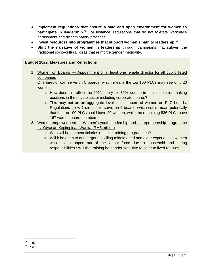- **Implement regulations that ensure a safe and open environment for women to participate in leadership.**<sup>96</sup> For instance, regulations that do not tolerate workplace harassment and discriminatory practices.
- **Invest resources into programmes that support women's path to leadership.**<sup>97</sup>
- **Shift the narrative of women in leadership** through campaigns that subvert the traditional socio-cultural ideas that reinforce gender inequality.

#### **Budget 2022: Measures and Reflections**

1. Women on Boards – Appointment of at least one female director for all public listed companies

One director can serve on 5 boards, which means the top 100 PLCs may see only 20 women.

- a. How does this affect the 2011 policy for 30% women in senior decision-making positions in the private sector including corporate boards?
- b. This may not on an aggregate level see numbers of women on PLC boards. Regulations allow 1 director to serve on 5 boards which could mean potentially that the top 100 PLCs could have 20 women, while the remaining 836 PLCs have 167 women board members.
- <span id="page-33-0"></span>**2.** Women empowerment — Women's youth leadership and entrepreneurship programme by Yayasan Kepimpinan Wanita (RM5 million)
	- a. Who will be the beneficiaries of these training programmes?
	- b. Will it be open to and target upskilling middle aged and older experienced women who have dropped out of the labour force due to household and caring responsibilities? Will the training be gender sensitive to cater to lived realities?

 $96$  Ibid.

 $97$  Ibid.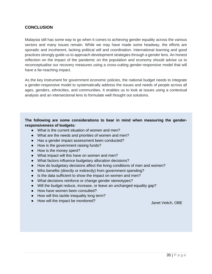## **CONCLUSION**

Malaysia still has some way to go when it comes to achieving gender equality across the various sectors and many issues remain. While we may have made some headway, the efforts are sporadic and incoherent, lacking political will and coordination. International learning and good practices strongly guide us to approach development strategies through a gender lens. An honest reflection on the impact of the pandemic on the population and economy should advise us to reconceptualise our recovery measures using a cross-cutting gender-responsive model that will have a far-reaching impact.

As the key instrument for government economic policies, the national budget needs to integrate a gender-responsive model to systematically address the issues and needs of people across all ages, genders, ethnicities, and communities. It enables us to look at issues using a contextual analysis and an intersectional lens to formulate well thought out solutions.

#### **The following are some considerations to bear in mind when measuring the genderresponsiveness of budgets:**

- What is the current situation of women and men?
- What are the needs and priorities of women and men?
- Has a gender impact assessment been conducted?
- How is the government raising funds?
- How is the money spent?
- What impact will this have on women and men?
- What factors influence budgetary allocation decisions?
- How do budgetary decisions affect the living conditions of men and women?
- Who benefits (directly or indirectly) from government spending?
- Is the data sufficient to show the impact on women and men?
- What decisions reinforce or change gender stereotypes?
- Will the budget reduce, increase, or leave an unchanged equality gap?
- How have women been consulted?
- How will this tackle inequality long term?
- How will the impact be monitored? Janet Veitch, OBE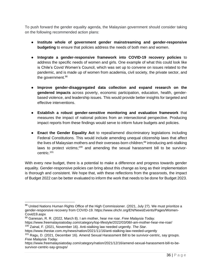To push forward the gender equality agenda, the Malaysian government should consider taking on the following recommended action plans:

- **Institute whole of government gender mainstreaming and gender-responsive budgeting** to ensure that policies address the needs of both men and women.
- **Integrate a gender-responsive framework into COVID-19 recovery policies** to address the specific needs of women and girls. One example of what this could look like is Chile's Covid Women's Council, which was set up to convene on issues related to the pandemic, and is made up of women from academia, civil society, the private sector, and the government.<sup>98</sup>
- **Improve gender-disaggregated data collection and expand research on the gendered impacts** across poverty, economic participation, education, health, genderbased violence, and leadership issues. This would provide better insights for targeted and effective interventions.
- **Establish a robust gender-sensitive monitoring and evaluation framework** that measures the impact of national policies from an intersectional perspective. Producing impact reports from these findings would serve to inform future budgets and policies.
- **Enact the Gender Equality Act** to repeal/amend discriminatory legislations including Federal Constitutions. This would include amending unequal citizenship laws that affect the lives of Malaysian mothers and their overseas-born children;<sup>99</sup> introducing anti-stalking laws to protect victims;<sup>100</sup> and amending the sexual harassment bill to be survivorcentric.<sup>101</sup>

With every new budget, there is a potential to make a difference and progress towards gender equality. Gender-responsive policies can bring about this change as long as their implementation is thorough and consistent. We hope that, with these reflections from the grassroots, the impact of Budget 2022 can be better evaluated to inform the work that needs to be done for Budget 2023.

<sup>98</sup> United Nations Human Rights Office of the High Commissioner. (2021, July 27). We must prioritize a gender-responsive recovery from COVID-19. https://www.ohchr.org/EN/NewsEvents/Pages/Women-Covid19.aspx

<sup>99</sup> Ganesan, R. R. (2022, March 8). I am mother, hear me roar. *Free Malaysia Today.* 

https://www.freemalaysiatoday.com/category/top-lifestyle/2022/03/08/i-am-mother-hear-me-roar/ <sup>100</sup> Zainal, F. (2021, November 16). Anti-stalking law needed urgently. *The Star*.

https://www.thestar.com.my/news/nation/2021/11/16/anti-stalking-law-needed-urgently

 $101$  Ragu, D. (2021, December 16). Amend Sexual Harassment Bill to be survivor-centric, say groups. *Free Malaysia Today.*

https://www.freemalaysiatoday.com/category/nation/2021/12/16/amend-sexual-harassment-bill-to-besurvivor-centric-say-groups/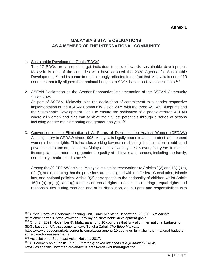## **Annex 1**

## <span id="page-36-0"></span>**MALAYSIA'S STATE OBLIGATIONS AS A MEMBER OF THE INTERNATIONAL COMMUNITY**

#### 1. Sustainable Development Goals (SDGs)

The 17 SDGs are a set of target indicators to move towards sustainable development. Malaysia is one of the countries who have adopted the 2030 Agenda for Sustainable Development<sup>102</sup> and its commitment is strongly reflected in the fact that Malaysia is one of 10 countries that fully aligned their national budgets to SDGs based on UN assessments.<sup>103</sup>

## 2. ASEAN Declaration on the Gender-Responsive Implementation of the ASEAN Community Vision 2025

As part of ASEAN, Malaysia joins the declaration of commitment to a gender-responsive implementation of the ASEAN Community Vision 2025 with the three ASEAN Blueprints and the Sustainable Development Goals to ensure the realisation of a people-centred ASEAN where all women and girls can achieve their fullest potentials through a series of actions including gender mainstreaming and gender analysis.<sup>104</sup>

3. Convention on the Elimination of All Forms of Discrimination Against Women (CEDAW) As a signatory to CEDAW since 1995, Malaysia is legally bound to attain, protect, and respect women's human rights. This includes working towards eradicating discrimination in public and private sectors and organisations. Malaysia is reviewed by the UN every four years to monitor its compliance in addressing gender inequality at all levels and spaces, including the family, community, market, and state.<sup>105</sup>

Among the 30 CEDAW articles, Malaysia maintains reservations to Articles 9(2) and 16(1) (a), (c), (f), and (g), stating that the provisions are not aligned with the Federal Constitution, Islamic law, and national policies. Article 9(2) corresponds to the nationality of children whilst Article 16(1) (a), (c), (f), and (g) touches on equal rights to enter into marriage, equal rights and responsibilities during marriage and at its dissolution, equal rights and responsibilities with

<sup>102</sup> Official Portal of Economic Planning Unit, Prime Minister's Department. (2021). *Sustainable development goals.* https://www.epu.gov.my/en/sustainable-development-goals

 $103$  Ong, S. (2021, November 8). Malaysia among 10 countries that fully align their national budgets to SDGs based on UN assessments, says Tengku Zafrul. *The Edge Markets*.

https://www.theedgemarkets.com/article/malaysia-among-10-countries-fully-align-their-national-budgetssdgs-based-un-assessments

<sup>&</sup>lt;sup>104</sup> Association of Southeast Asian Nations, 2017.

<sup>105</sup> UN Women Asia Pacific. (n.d.). *Frequently asked questions (FAQ) about CEDAW*. https://asiapacific.unwomen.org/en/focus-areas/cedaw-human-rights/faq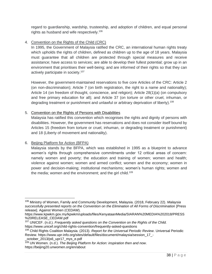regard to guardianship, wardship, trusteeship, and adoption of children, and equal personal rights as husband and wife respectively.<sup>106</sup>

#### 4. Convention on the Rights of the Child (CRC)

In 1995, the Government of Malaysia ratified the CRC, an international human rights treaty which upholds the rights of children, defined as children up to the age of 18 years. Malaysia must guarantee that all children are protected through special measures and receive assistance; have access to services; are able to develop their fullest potential; grow up in an environment that prioritises their well-being; and are informed of their rights so that they can actively participate in society. 107

However, the government-maintained reservations to five core Articles of the CRC: Article 2 (on non-discrimination); Article 7 (on birth registration, the right to a name and nationality); Article 14 (on freedom of thought, conscience, and religion); Article 28(1)(a) (on compulsory and free primary education for all); and Article 37 (on torture or other cruel, inhuman, or degrading treatment or punishment and unlawful or arbitrary deprivation of liberty).<sup>108</sup>

#### 5. Convention on the Rights of Persons with Disabilities

Malaysia has ratified this convention which recognises the rights and dignity of persons with disabilities. However, the government has reservations and does not consider itself bound by Articles 15 (freedom from torture or cruel, inhuman, or degrading treatment or punishment) and 18 (Liberty of movement and nationality).

## 6. Beijing Platform for Action (BFPA)

Malaysia stands by the BFPA, which was established in 1995 as a blueprint to advance women's rights through comprehensive commitments under 12 critical areas of concern: namely women and poverty; the education and training of women; women and health; violence against women; women and armed conflict; women and the economy; women in power and decision-making; institutional mechanisms; women's human rights; women and the media; women and the environment; and the girl child.<sup>109</sup>

\_october\_2013/js6\_upr17\_mys\_e.pdf

<sup>106</sup> Ministry of Women, Family and Community Development, Malaysia. (2018, February 22). *Malaysia successfully presented reports on the Convention on the Elimination of All Forms of Discrimination* [Press release]. Against Women (CEDAW).

https://www.kpwkm.gov.my/kpwkm/uploads/files/KenyataanMedia/SIARAN%20MEDIA%202018/PRESS %20RELEASE\_CEDAW.pdf

<sup>107</sup> UNICEF. (n.d.). *Frequently asked questions on the Convention on the Rights of the Child.* https://www.unicef.org/child-rights-convention/frequently-asked-questions

<sup>108</sup> Child Rights Coalition Malaysia. (2013). *Report for the Universal Periodic Review*. Universal Periodic Review. https://www.upr-info.org/sites/default/files/document/malaysia/session\_17\_-

<sup>109</sup> UN Women. (n.d.). *The Beijing Platform for Action: inspiration then and now*. https://beijing20.unwomen.org/en/about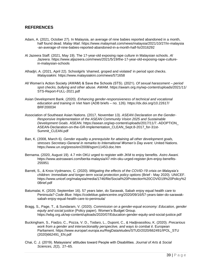#### <span id="page-38-0"></span>**REFERENCES**

- Adam, A. (2021, October 27). In Malaysia, an average of nine babies reported abandoned in a month, half found dead. *Malay Mail*. https://www.malaymail.com/news/malaysia/2021/10/27/in-malaysia -an-average-of-nine-babies-reported-abandoned-in-a-month-half-fo/2016292
- Al Jazeera Staff. (2021, May 19). The 17-year-old exposing rape culture in Malaysian schools. *Al Jazeera*. https://www.aljazeera.com/news/2021/5/19/the-17-year-old-exposing-rape-culturein-malaysian-schools
- Alhadjri, A. (2021, April 22). Schoolgirls 'shamed, groped and violated' in period spot checks. *Malaysiakini.* https://www.malaysiakini.com/news/571658
- All Women's Action Society (AWAM) & Save the Schools (STS). (2021). *Of sexual harassment – period spot checks, bullying and other abuse.* AWAM. https://awam.org.my/wp-content/uploads/2021/11/ STS-Report-FULL-2021.pdf
- Asian Development Bank. (2020). *Enhancing gender-responsiveness of technical and vocational education and training in Viet Nam* (ADB briefs – no. 126). https://dx.doi.org/10.22617/ BRF200034
- Association of Southeast Asian Nations. (2017, November 13). *ASEAN Declaration on the Gender-Responsive Implementation of the ASEAN Community Vision 2025 and Sustainable Development Goals*. ASEAN. https://asean.org/wp-content/uploads/2017/11/7.-ADOPTION\_ ASEAN-Declaration-on-the-GR-Implementation\_CLEAN\_Sept.8-2017\_for-31st-Summit\_CLEAN.pdf
- Ban, K. (2008, March 6). *Gender equality a prerequisite for attaining all other development goals, stresses Secretary-General in remarks to International Women's Day event*. United Nations. https://www.un.org/press/en/2008/sgsm11453.doc.htm
- Bernama. (2020, August 19). 4.7 mln OKU urged to register with JKM to enjoy benefits. *Astro Awani.* https://www.astroawani.com/berita-malaysia/47-mln-oku-urged-register-jkm-enjoy-benefits-255951
- Barrett, S., & Knox-Vydmanov, C. (2020). *Mitigating the effects of the COVID-19 crisis on Malaysia's children: Immediate and longer-term social protection policy options* (Brief - May 2020)*.* UNICEF. https://www.unicef.org/malaysia/media/1746/file/Social%20Protection%20COVID19%20Policy%2 0Brief.pdf
- Batumalai, K. (2020, September 16). 57 years later, do Sarawak, Sabah enjoy equal health care to Peninsula? *Code Blue.* https://codeblue.galencentre.org/2020/09/16/57-years-later-do-sarawaksabah-enjoy-equal-health-care-to-peninsula/
- Bragg, S., Page, T., & Sundaram, V. (2020). *Commission on a gender-equal economy: Education, gender equity and social justice* (Policy paper)*.* Women's Budget Group. https://wbg.org.uk/wp-content/uploads/2020/07/Education-gender-equity-and-social-justice.pdf
- Buckingham, S., Fiadzo, C., Pozza, V. D., Todaro, L., Dupont, C., & Hadjivassiliou, K. (2020). *Precarious work from a gender and intersectionality perspective, and ways to combat it*. European Parliament. https://www.europarl.europa.eu/RegData/etudes/STUD/2020/662491/IPOL\_STU (2020)662491\_EN.pdf
- Chai, C. J. (2019). Malaysians' attitudes toward People with Disabilities. *Journal of Arts & Social Sciences, 2*(2), 27–65.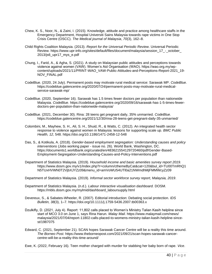- Chew, K. S., Noor, N., & Zaini, I. (2015). Knowledge, attitude and practice among healthcare staffs in the Emergency Department, Hospital Universiti Sains Malaysia towards rape victims in One Stop Crisis Centre (OSCC). *The Medical journal of Malaysia*, *70*(3), 162–8.
- Child Rights Coalition Malaysia. (2013). *Report for the Universal Periodic Review*. Universal Periodic Review. https://www.upr-info.org/sites/default/files/document/malaysia/session\_17\_-\_october\_ 2013/js6\_upr17\_mys\_e.pdf
- Chung, I., Farid, A., & Agha, S. (2021). A study on Malaysian public attitudes and perceptions towards violence against women (VAW). Women's Aid Organisation (WAO). https://wao.org.my/wpcontent/uploads/2021/11/PRINT-WAO\_VAW-Public-Attitudes-and-Perceptions-Report-2021\_19- NOV\_FINAL.pdf
- CodeBlue. (2020, 24 July). Permanent posts may motivate rural medical service: Sarawak MP. *CodeBlue.* https://codeblue.galencentre.org/2020/07/24/permanent-posts-may-motivate-rural-medicalservice-sarawak-mp/
- CodeBlue. (2020, September 16). Sarawak has 1.5 times fewer doctors per population than nationwide Malaysia. *CodeBlue.* https://codeblue.galencentre.org/2020/09/16/sarawak-has-1-5-times-fewerdoctors-per-population-than-nationwide-malaysia/
- CodeBlue. (2021, December 30). Rina: 28 teens get pregnant daily, 35% unmarried. *CodeBlue*. https://codeblue.galencentre.org/2021/12/30/rina-28-teens-get-pregnant-daily-35-unmarried/
- Colombini, M., Mayhew, S. H., Ali, S. H., Shuid, R., & Watts, C. (2012). An integrated health sector response to violence against women in Malaysia: lessons for supporting scale up. *BMC Public Health, 12*, 548. https://doi.org/10.1186/1471-2458-12-548
- Das, S., & Kotikula, A. (2018). *Gender-based employment segregation: Understanding causes and policy interventions* (Jobs working paper - issue no. 26). World Bank, Washington, DC. https://documents1.worldbank.org/curated/en/483621554129720460/pdf/Gender-Based-Employment-Segregation-Understanding-Causes-and-Policy-Interventions.pdf
- Department of Statistics Malaysia. (2019). *Household income and basic amenities survey report 2019.* https://www.dosm.gov.my/v1/index.php?r=column/cthemeByCat&cat=120&bul\_id=TU00TmRhQ1 N5TUxHVWN0T2VjbXJYZz09&menu\_id=amVoWU54UTl0a21NWmdhMjFMMWcyZz09
- Department of Statistics Malaysia. (2019). *Informal sector workforce survey report, Malaysia, 2019*.
- Department of Statistics Malaysia. (n.d.). *Labour interactive visualisation dashboard.* DOSM. https://mbls.dosm.gov.my/mylmid/dashboard\_laboursupply.html
- Devereux, S., & Sabates-Wheeler, R. (2007). Editorial introduction: Debating social protection. *IDS Bulletin, 38*(3), 1–7. https://doi.org/10.1111/j.1759-5436.2007.tb00363.x
- Dzulkifly, D. (2021, July 4). Report: 11,802 calls placed to Women's Ministry Talian Kasih helpline since start of MCO 3.0 on June 1, says Rina Harun. *Malay Mail*. https://www.malaymail.com/news/ malaysia/2021/07/04/report-11802-calls-placed-to-womens-ministry-talian-kasih-helpline-sincest/1987075
- Edward, C. (2021, September 21). SCAN hopes Sarawak Cancer Centre will be a reality this time around. *The Borneo Post.* https://www.theborneopost.com/2021/09/21/scan-hopes-sarawak-cancercentre-will-be-a-reality-this-time-around/
- Ewe, K. (2022, February 16). Teen mother charged with murder for stabbing her baby born of rape. *Vice*.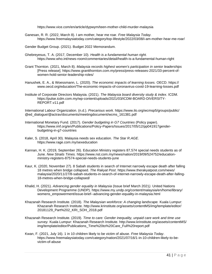https://www.vice.com/en/article/dypwym/teen-mother-child-murder-malaysia

Ganesan, R. R. (2022, March 8). I am mother, hear me roar. *Free Malaysia Today.* https://www.freemalaysiatoday.com/category/top-lifestyle/2022/03/08/i-am-mother-hear-me-roar/

Gender Budget Group. (2021). Budget 2022 Memorandum.

- Ghebreyesus, T. A. (2017, December 10). *Health is a fundamental human right.* https://www.who.int/news-room/commentaries/detail/health-is-a-fundamental-human-right
- Grant Thornton. (2021, March 8). *Malaysia records highest women's participation in senior leaderships* [Press release]. https://www.grantthornton.com.my/press/press-releases-2021/33-percent-ofwomen-hold-senior-leadership-roles/
- Hanushek, E. A., & Woessmann, L. (2020). *The economic impacts of learning losses.* OECD. https:// www.oecd.org/education/The-economic-impacts-of-coronavirus-covid-19-learning-losses.pdf
- Institute of Corporate Directors Malaysia. (2021). *The Malaysia board diversity study & index*. ICDM. https://pulse.icdm.com.my/wp-content/uploads/2021/03/ICDM-BOARD-DIVERSITY-REPORT.v11.pdf

International Labour Organization. (n.d.). *Precarious work.* https://www.ilo.org/wcmsp5/groups/public/ @ed\_dialogue/@actrav/documents/meetingdocument/wcms\_161381.pdf

- International Monetary Fund. (2017). *Gender budgeting in G7 Countries* (Policy paper). https://www.imf.org/en/Publications/Policy-Papers/Issues/2017/05/12/pp041917genderbudgeting-in-g7-countries
- Kaler, S. (2018, April 30). Malaysia needs sex education. *The Star R.AGE*. https://www.rage.com.my/sexeducation
- Kannan, H. K. (2019, September 26). Education Ministry registers 87,574 special needs students as of June. *New Straits Times.* https://www.nst.com.my/news/nation/2019/09/524752/educationministry-registers-87574-special-needs-students-june
- Kaur, K. (2020, November 27). 8 Sabah students in search of Internet narrowly escape death after falling 18 metres when bridge collapsed. *The Rakyat Post*. https://www.therakyatpost.com/news/ malaysia/2020/11/27/8-sabah-students-in-search-of-internet-narrowly-escape-death-after-falling-18-metres-when-bridge-collapsed/
- Khalid, H. (2021). *Advancing gender equality in Malaysia* (Issue brief March 2021*).* United Nations Development Programme (UNDP). https://www.my.undp.org/content/malaysia/en/home/library/ womens\_empowerment/issue-brief--advancing-gender-equality-in-malaysia.html
- Khazanah Research Institute. (2018). *The Malaysian workforce: A changing landscape.* Kuala Lumpur: Khazanah Research Institute. [http://www.krinstitute.org/assets/contentMS/img/template/editor/](http://www.krinstitute.org/assets/contentMS/img/template/editor/20181129_Part%202_KRI_SOH_2018.pdf) [20181129\\_Part%202\\_KRI\\_SOH\\_2018.pdf](http://www.krinstitute.org/assets/contentMS/img/template/editor/20181129_Part%202_KRI_SOH_2018.pdf)
- Khazanah Research Institute. (2019). *Time to care: Gender inequality, unpaid care work and time use survey.* Kuala Lumpur: Khazanah Research Institute. http://www.krinstitute.org/assets/contentMS/ img/template/editor/Publications\_Time%20to%20Care\_Full%20report.pdf
- Kwan, F. (2021, July 16). 1 in 10 children likely to be victim of abuse. *Free Malaysia Today*. https://www.freemalaysiatoday.com/category/nation/2021/07/16/1-in-10-children-likely-to-bevictim-of-abuse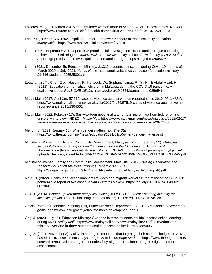- Lavietes. M. (2021, March 23). Men outnumber women three to one on COVID-19 task forces. *Reuters.* https://www.reuters.com/article/us-health-coronavirus-women-un-trfn-idUSKBN2BE2SS
- Lee, P.E., & Khor, S.K. (2021, April 30). Letter | Empower teachers to teach sexuality education. *Malaysiakini.* https://www.malaysiakini.com/letters/572815
- Lim, I. (2021, September 27). Report: IGP promises fair investigation, action against rogue cops alleged to have harassed refugees. *Malay Mail*. https://www.malaymail.com/news/malaysia/2021/09/27 /report-igp-promises-fair-investigation-action-against-rogue-cops-alleged-to/2008696
- Lim, I. (2021, December 5). Education Ministry: 21,316 students quit school during Covid-19 months of March 2020 to July 2021. *Yahoo News.* https://malaysia.news.yahoo.com/education-ministry-21-316-students-025525091.html
- Loganathan, T., Chan, Z.X., Hassan, F., Kunpeuk, W., Suphanchaimat, R., Yi, H., & Abdul Majid, H. (2021). Education for non-citizen children in Malaysia during the COVID-19 pandemic: A qualitative study. *PLoS ONE 16*(12). https://doi.org/10.1371/journal.pone.0259546
- Malay Mail. (2017, April 26). 57,519 cases of violence against women reported since 2010. *Malay Mail.* https://www.malaymail.com/news/malaysia/2017/04/26/57519-cases-of-violence-against-womenreported-since-2010/1364561
- Malay Mail. (2022, February 17). Sarawak teen goes viral after embarking on two-hour trek for online university interview (VIDEO). *Malay Mail.* https://www.malaymail.com/news/malaysia/2022/02/17/ sarawak-teen-goes-viral-after-embarking-on-two-hour-trek-for-online-univers/2042170
- Menon, S. (2021, January 10). When gender matters not. *The Star.* https://www.thestar.com.my/news/education/2021/01/10/when-gender-matters-not
- Ministry of Women, Family, and Community Development, Malaysia. (2018, February 22). *Malaysia successfully presented reports on the Convention on the Elimination of All Forms of Discrimination* [Press release]. Against Women (CEDAW). https://www.kpwkm.gov.my/kpwkm/ uploads/files/KenyataanMedia/SIARAN%20MEDIA%202018/PRESS%20RELEASE\_CEDAW.pdf
- Ministry of Women, Family and Community Development, Malaysia. (2019). *Beijing Declaration and Platform For Action Malaysia Progress Report 2014 - 2019.*  https://asiapacificgender.org/sites/default/files/documents/Malaysia%20(English).pdf
- Ng, S.H. (2022). Health inequalities amongst refugees and migrant workers in the midst of the COVID-19 pandemic: a report of two cases. *Asian Bioethics Review*. https://doi.org/10.1007/s41649-021- 00198-8
- OECD. (2014). *Women, government and policy making in OECD Countries: Fostering diversity for inclusive growth.* OECD Publishing. http://dx.doi.org/10.1787/9789264210745-en
- Official Portal of Economic Planning Unit, Prime Minister's Department. (2021). *Sustainable development goals.* https://www.epu.gov.my/en/sustainable-development-goals
- Ong, J. (2020, July 16). Education Ministry: Over one in three students couldn't access online learning during MCO. *Malay Mail.* https://www.malaymail.com/news/malaysia/2020/07/16/educationministry-over-one-in-three-students-couldnt-access-online-learnin/1885005
- Ong, S. (2021, November 8). Malaysia among 10 countries that fully align their national budgets to SDGs based on UN assessments, says Tengku Zafrul. *The Edge Markets*. https://www.theedgemarkets. com/article/malaysia-among-10-countries-fully-align-their-national-budgets-sdgs-based-unassessments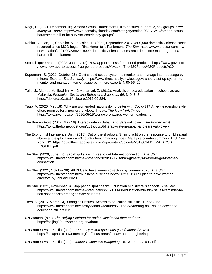- Ragu, D. (2021, December 16). Amend Sexual Harassment Bill to be survivor-centric, say groups. *Free Malaysia Today.* https://www.freemalaysiatoday.com/category/nation/2021/12/16/amend-sexualharassment-bill-to-be-survivor-centric-say-groups/
- Rahim, R., Tan, T., Carvalho, M., & Zainal, F. (2021, September 23). Over 9,000 domestic violence cases recorded since MCO began, Rina Harun tells Parliament. *The Star.* https://www.thestar.com.my/ news/nation/2021/09/23/over-9000-domestic-violence-cases-recorded-since-mco-began-rinaharun-tells-parliament
- Scottish government. (2022, January 12). New app to access free period products. https://www.gov.scot /news/new-app-to-access-free-period-products/#:~:text=The%20Period%20Products%20
- Supramani, S. (2021, October 26). Govt should set up system to monitor and manage internet usage by minors: Experts. *The Sun daily.* https://www.thesundaily.my/local/govt-should-set-up-system-tomonitor-and-manage-internet-usage-by-minors-experts-NJ8496429
- Talib, J., Mamat, M., Ibrahim, M., & Mohamad, Z. (2012). Analysis on sex education in schools across Malaysia. *Procedia - Social and Behavioral Sciences, 59*, 340–348. https://doi.org/10.1016/j.sbspro.2012.09.284.
- Taub, A. (2020, May 18). Why are women-led nations doing better with Covid-19? A new leadership style offers promise for a new era of global threats. *The New York Times*. https://www.nytimes.com/2020/05/15/world/coronavirus-women-leaders.html
- The Borneo Post. (2017, May 16). Literacy rate in Sabah and Sarawak lower. *The Borneo Post*. https://www.theborneopost.com/2017/05/16/literacy-rate-in-sabah-and-sarawak-lower/
- The Economist Intelligence Unit. (2018). Out of the shadows: Shining light on the response to child sexual abuse and exploitation - a 40 country benchmarking index. Malaysia country summary. EIU, New York, NY. https://outoftheshadows.eiu.com/wp-content/uploads/2019/01/MY\_MALAYSIA\_ PROFILE.pdf
- The Star. (2020, June 17). Sabah girl stays in tree to get Internet connection. *The Star.* https://www.thestar.com.my/news/nation/2020/06/17/sabah-girl-stays-in-tree-to-get-internetconnection
- The Star. (2021, October 30). All PLCs to have women directors by January 2023. *The Star.* https://www.thestar.com.my/business/business-news/2021/10/30/all-plcs-to-have-womendirectors-by-january-2023
- The Star. (2021, November 8). Stop period spot checks, Education Ministry tells schools. *The Star.* https://www.thestar.com.my/news/education/2021/11/08/education-ministry-issues-reminder-tohalt-spot-checks-among-female-students
- Then, S. (2015, March 24). Orang asli issues: Access to education still difficult. *The Star*. https://www.thestar.com.my/lifestyle/family/features/2015/03/24/orang-asli-issues-access-toeducation-still-difficult/
- UN Women. (n.d.). *The Beijing Platform for Action: inspiration then and now*. https://beijing20.unwomen.org/en/about
- UN Women Asia Pacific. (n.d.). *Frequently asked questions (FAQ) about CEDAW*. https://asiapacific.unwomen.org/en/focus-areas/cedaw-human-rights/faq
- UN Women Asia Pacific. (n.d.). *Gender-responsive Budgeting*. UN Women Asia Pacific.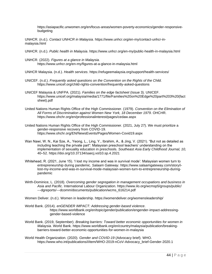https://asiapacific.unwomen.org/en/focus-areas/women-poverty-economics/gender-responsivebudgeting

UNHCR. (n.d.). *Contact UNHCR in Malaysia.* https://www.unhcr.org/en-my/contact-unhcr-inmalaysia.html

- UNHCR. (n.d.). *Public health in Malaysia*. https://www.unhcr.org/en-my/public-health-in-malaysia.html
- UNHCR. (2022). *Figures at a glance in Malaysia.* https://www.unhcr.org/en-my/figures-at-a-glance-in-malaysia.html

UNHCR Malaysia. (n.d.). *Health services*. https://refugeemalaysia.org/support/health-services/

- UNICEF. (n.d.). *Frequently asked questions on the Convention on the Rights of the Child.* https://www.unicef.org/child-rights-convention/frequently-asked-questions
- UNICEF Malaysia & UNFPA. (2021). *Families on the edge factsheet* (Issue 3). UNICEF. https://www.unicef.org/malaysia/media/1771/file/Families%20on%20Edge%20part%203%20(fact sheet).pdf
- United Nations Human Rights Office of the High Commissioner. (1979). *Convention on the Elimination of All Forms of Discrimination against Women New York, 18 December 1979*. OHCHR. https://www.ohchr.org/en/professionalinterest/pages/cedaw.aspx
- United Nations Human Rights Office of the High Commissioner. (2021, July 27). We must prioritize a gender-responsive recovery from COVID-19. https://www.ohchr.org/EN/NewsEvents/Pages/Women-Covid19.aspx
- Wan Nawi, W. N., Kai Sze, A., Yeong, L., Ling, Y., Ibrahim, A., & Jing, V. (2021). "But not as detailed as including teaching the private part": Malaysian preschool teachers' understanding on the implementation of sexuality education in preschools. *Southeast Asia Early Childhood Journal, 10,* 40–52. https://doi.org/10.37134/saecj.vol10.sp.4.2021
- Whitehead, R. (2021, June 15). 'I lost my income and was in survival mode': Malaysian women turn to entrepreneurship during pandemic. *Salaam Gateway.* https://www.salaamgateway.com/story/ilost-my-income-and-was-in-survival-mode-malaysian-women-turn-to-entrepreneurship-duringpandemic
- Wirth-Dominice, L. (2018). *Overcoming gender segregation in management occupations and business in Asia and Pacific.* International Labour Organization. https://www.ilo.org/wcmsp5/groups/public/ ---dgreports/---dcomm/documents/publication/wcms\_616214.pdf

Women Deliver. (n.d.). Women in leadership. https://womendeliver.org/womensleadership/

- World Bank. (2014). *enGENDER IMPACT: Addressing gender-based violence*. https://www.worldbank.org/en/topic/gender/publication/engender-impact-addressinggender-based-violence
- World Bank. (2019, September). *Breaking barriers: Toward better economic opportunities for women in Malaysia.* World Bank. https://www.worldbank.org/en/country/malaysia/publication/breakingbarriers-toward-better-economic-opportunities-for-women-in-malaysia
- World Health Organization. (2020). *Gender and COVID-19* (Advocacy brief). WHO. https://www.who.int/publications/i/item/WHO-2019-nCoV-Advocacy\_brief-Gender-2020.1